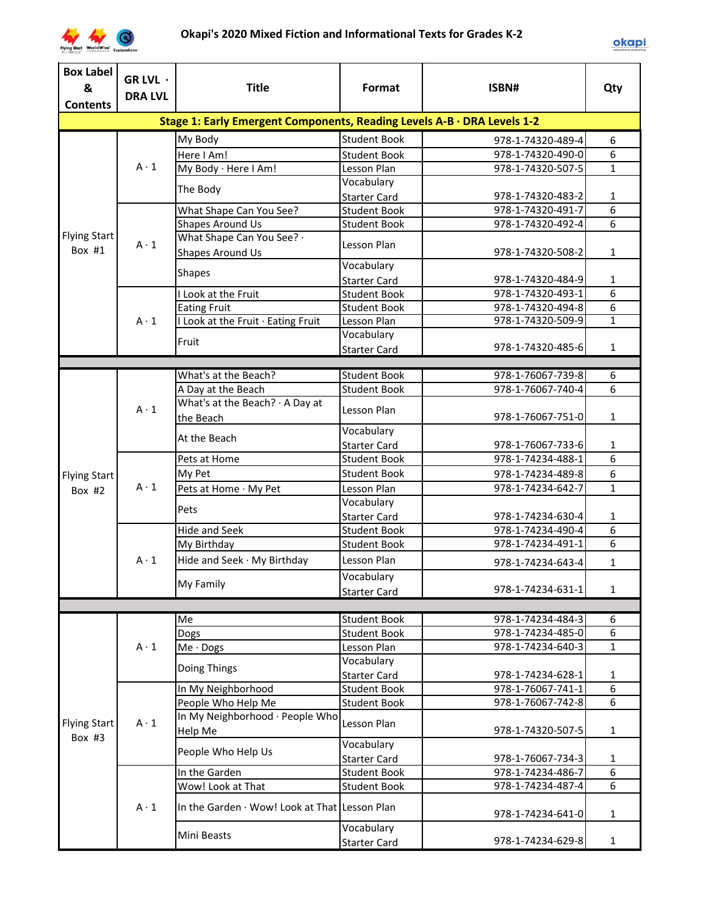

| <b>Box Label</b>    | GR LVL ·       |                                                                         |                     |                   |                |
|---------------------|----------------|-------------------------------------------------------------------------|---------------------|-------------------|----------------|
| &                   | <b>DRA LVL</b> | <b>Title</b>                                                            | Format              | ISBN#             | Qty            |
| <b>Contents</b>     |                |                                                                         |                     |                   |                |
|                     |                | Stage 1: Early Emergent Components, Reading Levels A-B · DRA Levels 1-2 |                     |                   |                |
|                     |                | My Body                                                                 | <b>Student Book</b> | 978-1-74320-489-4 | 6              |
|                     |                | Here I Am!                                                              | <b>Student Book</b> | 978-1-74320-490-0 | 6              |
|                     | $A \cdot 1$    | My Body · Here I Am!                                                    | Lesson Plan         | 978-1-74320-507-5 | $\mathbf{1}$   |
|                     |                |                                                                         | Vocabulary          |                   |                |
|                     |                | The Body                                                                | <b>Starter Card</b> | 978-1-74320-483-2 | 1              |
|                     |                | What Shape Can You See?                                                 | <b>Student Book</b> | 978-1-74320-491-7 | 6              |
|                     |                | <b>Shapes Around Us</b>                                                 | <b>Student Book</b> | 978-1-74320-492-4 | 6              |
| <b>Flying Start</b> | $A \cdot 1$    | What Shape Can You See? .                                               | Lesson Plan         |                   |                |
| Box #1              |                | Shapes Around Us                                                        |                     | 978-1-74320-508-2 | $\mathbf{1}$   |
|                     |                | <b>Shapes</b>                                                           | Vocabulary          |                   |                |
|                     |                |                                                                         | <b>Starter Card</b> | 978-1-74320-484-9 | $\mathbf{1}$   |
|                     |                | I Look at the Fruit                                                     | <b>Student Book</b> | 978-1-74320-493-1 | 6              |
|                     |                | <b>Eating Fruit</b>                                                     | <b>Student Book</b> | 978-1-74320-494-8 | 6              |
|                     | $A \cdot 1$    | I Look at the Fruit · Eating Fruit                                      | Lesson Plan         | 978-1-74320-509-9 | $\mathbf{1}$   |
|                     |                | Fruit                                                                   | Vocabulary          |                   |                |
|                     |                |                                                                         | <b>Starter Card</b> | 978-1-74320-485-6 | $\mathbf{1}$   |
|                     |                |                                                                         |                     |                   |                |
|                     |                | What's at the Beach?                                                    | <b>Student Book</b> | 978-1-76067-739-8 | 6              |
|                     |                | A Day at the Beach                                                      | <b>Student Book</b> | 978-1-76067-740-4 | 6              |
|                     | $A \cdot 1$    | What's at the Beach? · A Day at                                         | Lesson Plan         |                   |                |
|                     |                | the Beach                                                               |                     | 978-1-76067-751-0 | $\mathbf{1}$   |
|                     |                | At the Beach                                                            | Vocabulary          |                   |                |
|                     |                |                                                                         | <b>Starter Card</b> | 978-1-76067-733-6 | 1              |
|                     | $A \cdot 1$    | Pets at Home                                                            | <b>Student Book</b> | 978-1-74234-488-1 | 6              |
| <b>Flying Start</b> |                | My Pet                                                                  | <b>Student Book</b> | 978-1-74234-489-8 | 6              |
| Box $#2$            |                | Pets at Home · My Pet                                                   | Lesson Plan         | 978-1-74234-642-7 | $\mathbf{1}$   |
|                     |                | Pets                                                                    | Vocabulary          |                   |                |
|                     |                |                                                                         | <b>Starter Card</b> | 978-1-74234-630-4 | 1              |
|                     |                | Hide and Seek                                                           | <b>Student Book</b> | 978-1-74234-490-4 | $\overline{6}$ |
|                     |                | My Birthday                                                             | <b>Student Book</b> | 978-1-74234-491-1 | $\overline{6}$ |
|                     | $A \cdot 1$    | Hide and Seek · My Birthday                                             | Lesson Plan         | 978-1-74234-643-4 | $\mathbf{1}$   |
|                     |                |                                                                         | Vocabulary          |                   |                |
|                     |                | My Family                                                               | <b>Starter Card</b> | 978-1-74234-631-1 | $\mathbf{1}$   |
|                     |                |                                                                         |                     |                   |                |
|                     |                | Me                                                                      | <b>Student Book</b> | 978-1-74234-484-3 | 6              |
|                     |                | Dogs                                                                    | <b>Student Book</b> | 978-1-74234-485-0 | 6              |
|                     | $A \cdot 1$    | $Me \cdot$ Dogs                                                         | Lesson Plan         | 978-1-74234-640-3 | $\mathbf{1}$   |
|                     |                | Doing Things                                                            | Vocabulary          |                   |                |
|                     |                |                                                                         | <b>Starter Card</b> | 978-1-74234-628-1 | 1              |
|                     |                | In My Neighborhood                                                      | <b>Student Book</b> | 978-1-76067-741-1 | 6              |
|                     |                | People Who Help Me                                                      | <b>Student Book</b> | 978-1-76067-742-8 | 6              |
| <b>Flying Start</b> | $A \cdot 1$    | In My Neighborhood · People Who                                         | Lesson Plan         |                   |                |
| Box #3              |                | Help Me                                                                 |                     | 978-1-74320-507-5 | $\mathbf{1}$   |
|                     |                | People Who Help Us                                                      | Vocabulary          |                   |                |
|                     |                |                                                                         | <b>Starter Card</b> | 978-1-76067-734-3 | 1              |
|                     |                | In the Garden                                                           | <b>Student Book</b> | 978-1-74234-486-7 | 6              |
|                     |                | Wow! Look at That                                                       | <b>Student Book</b> | 978-1-74234-487-4 | 6              |
|                     | $A \cdot 1$    | In the Garden · Wow! Look at That Lesson Plan                           |                     | 978-1-74234-641-0 | 1              |
|                     |                |                                                                         | Vocabulary          |                   |                |
|                     |                | Mini Beasts                                                             | <b>Starter Card</b> | 978-1-74234-629-8 | $\mathbf{1}$   |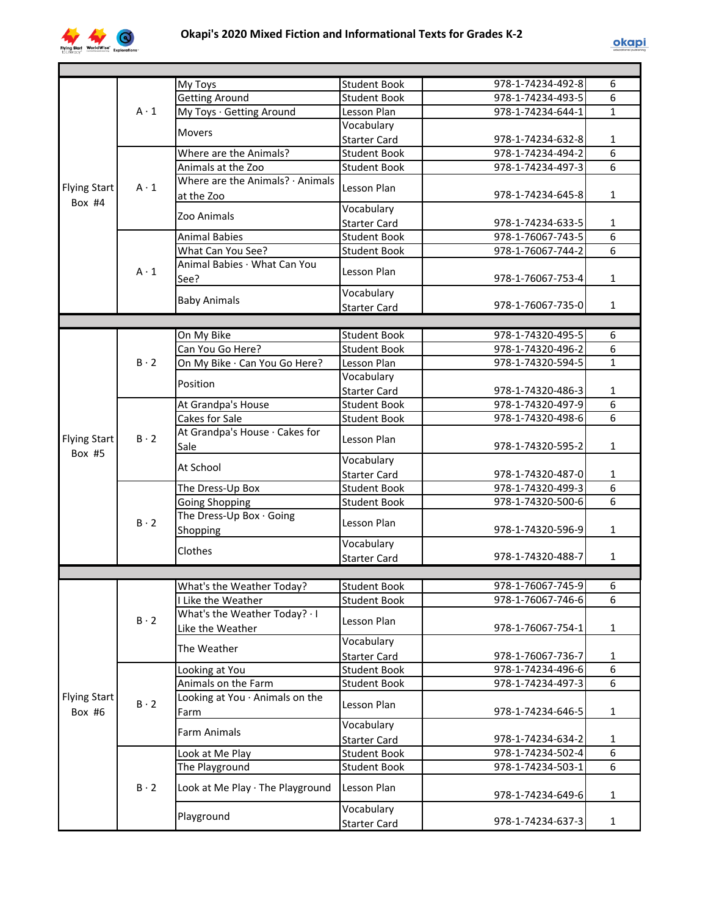

|                               |             | My Toys                                | <b>Student Book</b> | 978-1-74234-492-8 | 6              |
|-------------------------------|-------------|----------------------------------------|---------------------|-------------------|----------------|
|                               |             | <b>Getting Around</b>                  | <b>Student Book</b> | 978-1-74234-493-5 | $\overline{6}$ |
|                               | $A \cdot 1$ | My Toys · Getting Around               | Lesson Plan         | 978-1-74234-644-1 | $\mathbf{1}$   |
|                               |             |                                        | Vocabulary          |                   |                |
|                               |             | <b>Movers</b>                          | <b>Starter Card</b> | 978-1-74234-632-8 | 1              |
|                               |             | Where are the Animals?                 | <b>Student Book</b> | 978-1-74234-494-2 | 6              |
|                               |             | Animals at the Zoo                     | <b>Student Book</b> | 978-1-74234-497-3 | $\overline{6}$ |
|                               |             | Where are the Animals? $\cdot$ Animals | Lesson Plan         |                   |                |
| <b>Flying Start</b><br>Box #4 | $A \cdot 1$ | at the Zoo                             |                     | 978-1-74234-645-8 | $\mathbf{1}$   |
|                               |             | Zoo Animals                            | Vocabulary          |                   |                |
|                               |             |                                        | <b>Starter Card</b> | 978-1-74234-633-5 | $\mathbf{1}$   |
|                               |             | <b>Animal Babies</b>                   | <b>Student Book</b> | 978-1-76067-743-5 | $\overline{6}$ |
|                               |             | What Can You See?                      | <b>Student Book</b> | 978-1-76067-744-2 | $\overline{6}$ |
|                               | $A \cdot 1$ | Animal Babies · What Can You           | Lesson Plan         |                   |                |
|                               |             | See?                                   |                     | 978-1-76067-753-4 | $\mathbf{1}$   |
|                               |             |                                        | Vocabulary          |                   |                |
|                               |             | <b>Baby Animals</b>                    | <b>Starter Card</b> | 978-1-76067-735-0 | $\mathbf{1}$   |
|                               |             |                                        |                     |                   |                |
|                               |             | On My Bike                             | <b>Student Book</b> | 978-1-74320-495-5 | 6              |
|                               |             | Can You Go Here?                       | <b>Student Book</b> | 978-1-74320-496-2 | $\overline{6}$ |
|                               | $B \cdot 2$ | On My Bike · Can You Go Here?          | Lesson Plan         | 978-1-74320-594-5 | $\mathbf{1}$   |
|                               |             | Position                               | Vocabulary          |                   |                |
|                               |             |                                        | <b>Starter Card</b> | 978-1-74320-486-3 | 1              |
|                               |             | At Grandpa's House                     | <b>Student Book</b> | 978-1-74320-497-9 | $\overline{6}$ |
|                               |             | Cakes for Sale                         | <b>Student Book</b> | 978-1-74320-498-6 | $\overline{6}$ |
|                               | $B \cdot 2$ | At Grandpa's House · Cakes for         |                     |                   |                |
| <b>Flying Start</b>           |             | Sale                                   | Lesson Plan         | 978-1-74320-595-2 | $\mathbf{1}$   |
| Box #5                        |             |                                        | Vocabulary          |                   |                |
|                               |             | At School                              | <b>Starter Card</b> | 978-1-74320-487-0 | 1              |
|                               |             | The Dress-Up Box                       | <b>Student Book</b> | 978-1-74320-499-3 | 6              |
|                               |             | <b>Going Shopping</b>                  | <b>Student Book</b> | 978-1-74320-500-6 | 6              |
|                               | $B \cdot 2$ | The Dress-Up Box · Going               |                     |                   |                |
|                               |             | Shopping                               | Lesson Plan         | 978-1-74320-596-9 | $\mathbf{1}$   |
|                               |             |                                        | Vocabulary          |                   |                |
|                               |             | Clothes                                | <b>Starter Card</b> | 978-1-74320-488-7 | $\mathbf{1}$   |
|                               |             |                                        |                     |                   |                |
|                               |             | What's the Weather Today?              | <b>Student Book</b> | 978-1-76067-745-9 | $\overline{6}$ |
|                               |             | I Like the Weather                     | <b>Student Book</b> | 978-1-76067-746-6 | 6              |
|                               | $B \cdot 2$ | What's the Weather Today? . I          |                     |                   |                |
|                               |             | Like the Weather                       | Lesson Plan         | 978-1-76067-754-1 | 1              |
|                               |             | The Weather                            | Vocabulary          |                   |                |
|                               |             |                                        | <b>Starter Card</b> | 978-1-76067-736-7 | 1              |
|                               |             | Looking at You                         | <b>Student Book</b> | 978-1-74234-496-6 | 6              |
|                               |             | Animals on the Farm                    | <b>Student Book</b> | 978-1-74234-497-3 | 6              |
| <b>Flying Start</b>           | $B \cdot 2$ | Looking at You · Animals on the        |                     |                   |                |
| Box #6                        |             | Farm                                   | Lesson Plan         | 978-1-74234-646-5 | 1              |
|                               |             | <b>Farm Animals</b>                    | Vocabulary          |                   |                |
|                               |             |                                        | <b>Starter Card</b> | 978-1-74234-634-2 | 1              |
|                               |             | Look at Me Play                        | <b>Student Book</b> | 978-1-74234-502-4 | 6              |
|                               |             | The Playground                         | <b>Student Book</b> | 978-1-74234-503-1 | 6              |
|                               |             |                                        |                     |                   |                |
|                               | $B \cdot 2$ | Look at Me Play · The Playground       | Lesson Plan         | 978-1-74234-649-6 | 1              |
|                               |             |                                        | Vocabulary          |                   |                |
|                               |             | Playground                             | <b>Starter Card</b> | 978-1-74234-637-3 | $\mathbf{1}$   |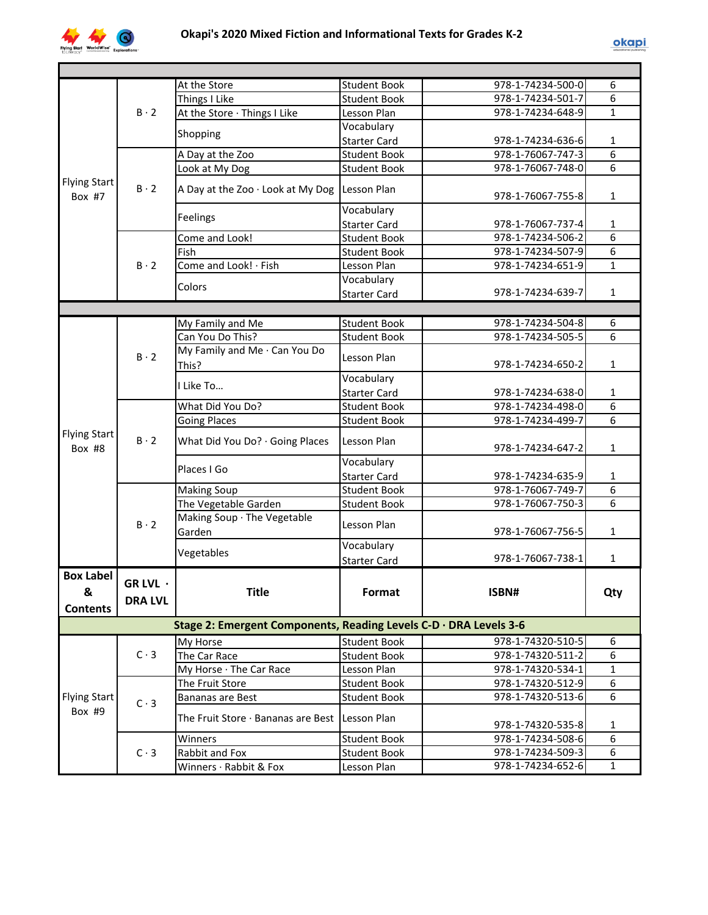

|                               |                | At the Store                                                      | <b>Student Book</b> | 978-1-74234-500-0 | 6              |
|-------------------------------|----------------|-------------------------------------------------------------------|---------------------|-------------------|----------------|
|                               |                | Things I Like                                                     | <b>Student Book</b> | 978-1-74234-501-7 | 6              |
|                               | $B \cdot 2$    | At the Store · Things I Like                                      | Lesson Plan         | 978-1-74234-648-9 | $\mathbf{1}$   |
|                               |                | Shopping                                                          | Vocabulary          |                   |                |
|                               |                |                                                                   | <b>Starter Card</b> | 978-1-74234-636-6 | 1              |
|                               |                | A Day at the Zoo                                                  | <b>Student Book</b> | 978-1-76067-747-3 | $\overline{6}$ |
|                               |                | Look at My Dog                                                    | <b>Student Book</b> | 978-1-76067-748-0 | $\overline{6}$ |
| <b>Flying Start</b><br>Box #7 | $B \cdot 2$    | A Day at the Zoo · Look at My Dog                                 | Lesson Plan         | 978-1-76067-755-8 | $\mathbf{1}$   |
|                               |                | Feelings                                                          | Vocabulary          |                   |                |
|                               |                |                                                                   | <b>Starter Card</b> | 978-1-76067-737-4 | 1              |
|                               |                | Come and Look!                                                    | <b>Student Book</b> | 978-1-74234-506-2 | $\overline{6}$ |
|                               |                | Fish                                                              | <b>Student Book</b> | 978-1-74234-507-9 | $\overline{6}$ |
|                               | $B \cdot 2$    | Come and Look! · Fish                                             | Lesson Plan         | 978-1-74234-651-9 | $\mathbf{1}$   |
|                               |                | Colors                                                            | Vocabulary          |                   |                |
|                               |                |                                                                   | <b>Starter Card</b> | 978-1-74234-639-7 | $\mathbf{1}$   |
|                               |                |                                                                   |                     |                   |                |
|                               |                | My Family and Me                                                  | <b>Student Book</b> | 978-1-74234-504-8 | 6              |
|                               |                | Can You Do This?                                                  | <b>Student Book</b> | 978-1-74234-505-5 | 6              |
|                               | $B \cdot 2$    | My Family and Me · Can You Do<br>This?                            | Lesson Plan         | 978-1-74234-650-2 | 1              |
|                               | $B \cdot 2$    | I Like To                                                         | Vocabulary          |                   |                |
|                               |                |                                                                   | <b>Starter Card</b> | 978-1-74234-638-0 | $\mathbf{1}$   |
|                               |                | What Did You Do?                                                  | <b>Student Book</b> | 978-1-74234-498-0 | 6              |
|                               |                | <b>Going Places</b>                                               | <b>Student Book</b> | 978-1-74234-499-7 | 6              |
| <b>Flying Start</b><br>Box #8 |                | What Did You Do? · Going Places                                   | Lesson Plan         | 978-1-74234-647-2 | $\mathbf{1}$   |
|                               |                | Places I Go                                                       | Vocabulary          |                   |                |
|                               |                |                                                                   | <b>Starter Card</b> | 978-1-74234-635-9 | 1              |
|                               |                | <b>Making Soup</b>                                                | <b>Student Book</b> | 978-1-76067-749-7 | 6              |
|                               |                | The Vegetable Garden                                              | <b>Student Book</b> | 978-1-76067-750-3 | 6              |
|                               | $B \cdot 2$    | Making Soup · The Vegetable<br>Garden                             | Lesson Plan         | 978-1-76067-756-5 | $\mathbf{1}$   |
|                               |                |                                                                   | Vocabulary          |                   |                |
|                               |                | Vegetables                                                        | <b>Starter Card</b> | 978-1-76067-738-1 | $\mathbf{1}$   |
| <b>Box Label</b>              |                |                                                                   |                     |                   |                |
| &                             | GR LVL ·       | Title                                                             | Format              | ISBN#             | Qty            |
| <b>Contents</b>               | <b>DRA LVL</b> |                                                                   |                     |                   |                |
|                               |                |                                                                   |                     |                   |                |
|                               |                | Stage 2: Emergent Components, Reading Levels C-D · DRA Levels 3-6 |                     |                   |                |
|                               |                | My Horse                                                          | <b>Student Book</b> | 978-1-74320-510-5 | 6              |
|                               | $C \cdot 3$    | The Car Race                                                      | <b>Student Book</b> | 978-1-74320-511-2 | 6              |
|                               |                | My Horse · The Car Race                                           | Lesson Plan         | 978-1-74320-534-1 | $\mathbf{1}$   |
|                               |                | The Fruit Store                                                   | <b>Student Book</b> | 978-1-74320-512-9 | 6              |
| <b>Flying Start</b>           | $C \cdot 3$    | Bananas are Best                                                  | <b>Student Book</b> | 978-1-74320-513-6 | 6              |
| Box #9                        |                | The Fruit Store · Bananas are Best Lesson Plan                    |                     | 978-1-74320-535-8 | 1              |
|                               |                | Winners                                                           | <b>Student Book</b> | 978-1-74234-508-6 | 6              |
|                               | $C \cdot 3$    | Rabbit and Fox                                                    | <b>Student Book</b> | 978-1-74234-509-3 | 6              |
|                               |                | Winners · Rabbit & Fox                                            | Lesson Plan         | 978-1-74234-652-6 | $\mathbf{1}$   |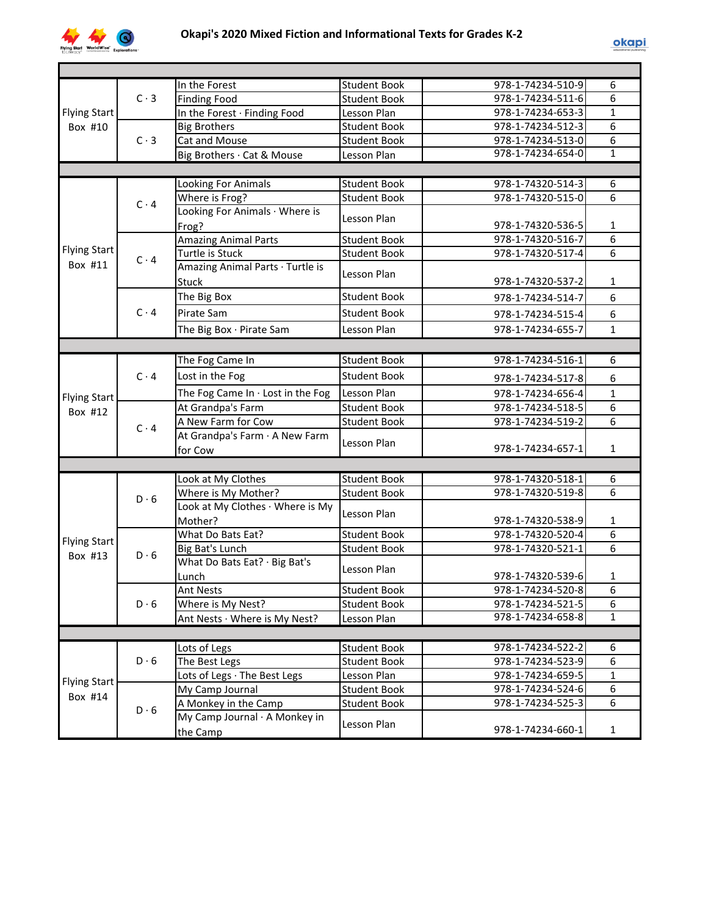

|                     |             | In the Forest                     | <b>Student Book</b> | 978-1-74234-510-9 | 6              |
|---------------------|-------------|-----------------------------------|---------------------|-------------------|----------------|
|                     | $C \cdot 3$ | <b>Finding Food</b>               | <b>Student Book</b> | 978-1-74234-511-6 | 6              |
| <b>Flying Start</b> |             | In the Forest · Finding Food      | Lesson Plan         | 978-1-74234-653-3 | 1              |
| Box #10             |             | <b>Big Brothers</b>               | <b>Student Book</b> | 978-1-74234-512-3 | 6              |
|                     | $C \cdot 3$ | Cat and Mouse                     | <b>Student Book</b> | 978-1-74234-513-0 | 6              |
|                     |             | Big Brothers · Cat & Mouse        | Lesson Plan         | 978-1-74234-654-0 | 1              |
|                     |             |                                   |                     |                   |                |
|                     |             | Looking For Animals               | <b>Student Book</b> | 978-1-74320-514-3 | 6              |
|                     | $C \cdot 4$ | Where is Frog?                    | <b>Student Book</b> | 978-1-74320-515-0 | 6              |
|                     |             | Looking For Animals · Where is    | Lesson Plan         |                   |                |
|                     |             | Frog?                             |                     | 978-1-74320-536-5 | $\mathbf{1}$   |
|                     |             | <b>Amazing Animal Parts</b>       | <b>Student Book</b> | 978-1-74320-516-7 | 6              |
| <b>Flying Start</b> | $C \cdot 4$ | Turtle is Stuck                   | <b>Student Book</b> | 978-1-74320-517-4 | 6              |
| Box #11             |             | Amazing Animal Parts · Turtle is  |                     |                   |                |
|                     |             | <b>Stuck</b>                      | Lesson Plan         | 978-1-74320-537-2 | $\mathbf{1}$   |
|                     |             | The Big Box                       | <b>Student Book</b> | 978-1-74234-514-7 | 6              |
|                     | $C \cdot 4$ | Pirate Sam                        | <b>Student Book</b> | 978-1-74234-515-4 | 6              |
|                     |             | The Big Box · Pirate Sam          | Lesson Plan         | 978-1-74234-655-7 | $\mathbf{1}$   |
|                     |             |                                   |                     |                   |                |
|                     |             | The Fog Came In                   | <b>Student Book</b> | 978-1-74234-516-1 | 6              |
|                     | $C \cdot 4$ |                                   | <b>Student Book</b> |                   |                |
|                     |             | Lost in the Fog                   |                     | 978-1-74234-517-8 | 6              |
| <b>Flying Start</b> |             | The Fog Came In . Lost in the Fog | Lesson Plan         | 978-1-74234-656-4 | $\mathbf{1}$   |
| Box #12             |             | At Grandpa's Farm                 | <b>Student Book</b> | 978-1-74234-518-5 | 6              |
|                     | $C \cdot 4$ | A New Farm for Cow                | <b>Student Book</b> | 978-1-74234-519-2 | 6              |
|                     |             | At Grandpa's Farm · A New Farm    | Lesson Plan         |                   |                |
|                     |             | for Cow                           |                     | 978-1-74234-657-1 | $\mathbf{1}$   |
|                     |             |                                   |                     |                   |                |
|                     |             | Look at My Clothes                | <b>Student Book</b> | 978-1-74320-518-1 | 6              |
|                     | $D \cdot 6$ | Where is My Mother?               | <b>Student Book</b> | 978-1-74320-519-8 | $\overline{6}$ |
|                     |             | Look at My Clothes · Where is My  | Lesson Plan         |                   |                |
|                     |             | Mother?                           |                     | 978-1-74320-538-9 | 1              |
| <b>Flying Start</b> |             | What Do Bats Eat?                 | <b>Student Book</b> | 978-1-74320-520-4 | 6              |
| Box #13             | $D \cdot 6$ | Big Bat's Lunch                   | <b>Student Book</b> | 978-1-74320-521-1 | $\overline{6}$ |
|                     |             | What Do Bats Eat? · Big Bat's     | Lesson Plan         |                   |                |
|                     |             | Lunch                             |                     | 978-1-74320-539-6 | 1              |
|                     |             | <b>Ant Nests</b>                  | Student Book        | 978-1-74234-520-8 | 6              |
|                     | $D \cdot 6$ | Where is My Nest?                 | <b>Student Book</b> | 978-1-74234-521-5 | 6              |
|                     |             | Ant Nests · Where is My Nest?     | Lesson Plan         | 978-1-74234-658-8 | $\mathbf{1}$   |
|                     |             |                                   |                     |                   |                |
|                     |             | Lots of Legs                      | <b>Student Book</b> | 978-1-74234-522-2 | 6              |
|                     | $D \cdot 6$ | The Best Legs                     | <b>Student Book</b> | 978-1-74234-523-9 | 6              |
| <b>Flying Start</b> |             | Lots of Legs · The Best Legs      | Lesson Plan         | 978-1-74234-659-5 | 1              |
| Box #14             |             | My Camp Journal                   | <b>Student Book</b> | 978-1-74234-524-6 | 6              |
|                     | $D \cdot 6$ | A Monkey in the Camp              | <b>Student Book</b> | 978-1-74234-525-3 | 6              |
|                     |             | My Camp Journal · A Monkey in     |                     |                   |                |
|                     |             | the Camp                          | Lesson Plan         | 978-1-74234-660-1 | $\mathbf{1}$   |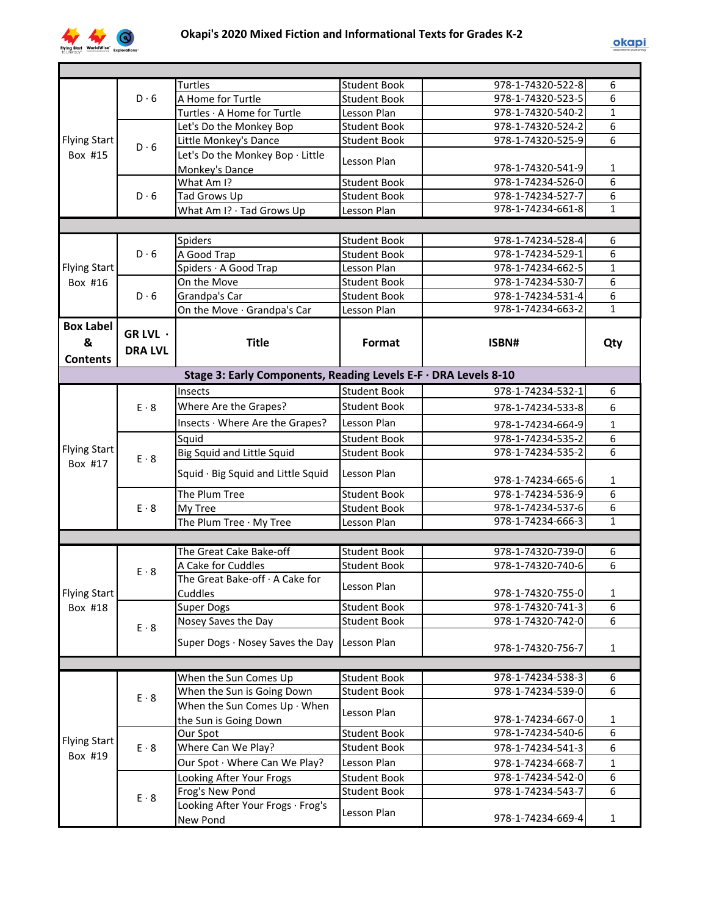

|                     |                | <b>Turtles</b>                                                  | <b>Student Book</b> | 978-1-74320-522-8 | 6              |
|---------------------|----------------|-----------------------------------------------------------------|---------------------|-------------------|----------------|
|                     | $D \cdot 6$    | A Home for Turtle                                               | <b>Student Book</b> | 978-1-74320-523-5 | 6              |
|                     |                | Turtles · A Home for Turtle                                     | Lesson Plan         | 978-1-74320-540-2 | $\mathbf{1}$   |
|                     |                | Let's Do the Monkey Bop                                         | <b>Student Book</b> | 978-1-74320-524-2 | 6              |
| <b>Flying Start</b> | $D \cdot 6$    | Little Monkey's Dance                                           | <b>Student Book</b> | 978-1-74320-525-9 | 6              |
| Box #15             |                | Let's Do the Monkey Bop · Little                                | Lesson Plan         |                   |                |
|                     |                | Monkey's Dance                                                  |                     | 978-1-74320-541-9 | 1              |
|                     |                | What Am I?                                                      | Student Book        | 978-1-74234-526-0 | 6              |
|                     | $D \cdot 6$    | Tad Grows Up                                                    | <b>Student Book</b> | 978-1-74234-527-7 | 6              |
|                     |                | What Am I? · Tad Grows Up                                       | Lesson Plan         | 978-1-74234-661-8 | $\mathbf{1}$   |
|                     |                |                                                                 |                     |                   |                |
|                     |                | Spiders                                                         | <b>Student Book</b> | 978-1-74234-528-4 | 6              |
|                     | $D \cdot 6$    | A Good Trap                                                     | <b>Student Book</b> | 978-1-74234-529-1 | $\overline{6}$ |
| <b>Flying Start</b> |                | Spiders · A Good Trap                                           | Lesson Plan         | 978-1-74234-662-5 | $\mathbf{1}$   |
| Box #16             |                | On the Move                                                     | <b>Student Book</b> | 978-1-74234-530-7 | $\overline{6}$ |
|                     | $D \cdot 6$    | Grandpa's Car                                                   | <b>Student Book</b> | 978-1-74234-531-4 | 6              |
|                     |                | On the Move · Grandpa's Car                                     | Lesson Plan         | 978-1-74234-663-2 | $\mathbf{1}$   |
| <b>Box Label</b>    |                |                                                                 |                     |                   |                |
|                     | GR LVL $\cdot$ |                                                                 |                     |                   |                |
| &                   | <b>DRA LVL</b> | <b>Title</b>                                                    | Format              | ISBN#             | Qty            |
| <b>Contents</b>     |                |                                                                 |                     |                   |                |
|                     |                | Stage 3: Early Components, Reading Levels E-F · DRA Levels 8-10 |                     |                   |                |
|                     |                | Insects                                                         | Student Book        | 978-1-74234-532-1 | 6              |
|                     | $E \cdot 8$    | Where Are the Grapes?                                           | <b>Student Book</b> | 978-1-74234-533-8 | 6              |
|                     |                | Insects · Where Are the Grapes?                                 | Lesson Plan         |                   |                |
|                     |                |                                                                 |                     | 978-1-74234-664-9 | $\mathbf{1}$   |
| <b>Flying Start</b> |                | Squid                                                           | <b>Student Book</b> | 978-1-74234-535-2 | 6              |
| Box #17             | $E \cdot 8$    | <b>Big Squid and Little Squid</b>                               | <b>Student Book</b> | 978-1-74234-535-2 | 6              |
|                     |                | Squid · Big Squid and Little Squid                              | Lesson Plan         |                   |                |
|                     |                |                                                                 |                     | 978-1-74234-665-6 | $\mathbf{1}$   |
|                     |                | The Plum Tree                                                   | <b>Student Book</b> | 978-1-74234-536-9 | 6              |
|                     | $E \cdot 8$    | My Tree                                                         | <b>Student Book</b> | 978-1-74234-537-6 | 6              |
|                     |                | The Plum Tree · My Tree                                         | Lesson Plan         | 978-1-74234-666-3 | $\overline{1}$ |
|                     |                |                                                                 |                     |                   |                |
|                     |                | The Great Cake Bake-off                                         | <b>Student Book</b> | 978-1-74320-739-0 | 6              |
|                     | $E \cdot 8$    | A Cake for Cuddles                                              | <b>Student Book</b> | 978-1-74320-740-6 | $\overline{6}$ |
|                     |                | The Great Bake-off · A Cake for                                 | Lesson Plan         |                   |                |
| <b>Flying Start</b> |                | Cuddles                                                         |                     | 978-1-74320-755-0 | $\mathbf 1$    |
| Box #18             |                | <b>Super Dogs</b>                                               | <b>Student Book</b> | 978-1-74320-741-3 | 6              |
|                     | $E \cdot 8$    | Nosey Saves the Day                                             | <b>Student Book</b> | 978-1-74320-742-0 | 6              |
|                     |                | Super Dogs · Nosey Saves the Day                                | Lesson Plan         |                   |                |
|                     |                |                                                                 |                     | 978-1-74320-756-7 | $\mathbf{1}$   |
|                     |                |                                                                 |                     |                   |                |
|                     |                | When the Sun Comes Up                                           | <b>Student Book</b> | 978-1-74234-538-3 | 6              |
|                     | $E \cdot 8$    | When the Sun is Going Down                                      | <b>Student Book</b> | 978-1-74234-539-0 | $\overline{6}$ |
|                     |                | When the Sun Comes Up · When                                    | Lesson Plan         |                   |                |
|                     |                | the Sun is Going Down                                           |                     | 978-1-74234-667-0 | 1              |
|                     |                | Our Spot                                                        | <b>Student Book</b> | 978-1-74234-540-6 | 6              |
| <b>Flying Start</b> | $E \cdot 8$    | Where Can We Play?                                              | <b>Student Book</b> | 978-1-74234-541-3 | 6              |
| Box #19             |                | Our Spot · Where Can We Play?                                   | Lesson Plan         | 978-1-74234-668-7 | 1              |
|                     |                | Looking After Your Frogs                                        | <b>Student Book</b> | 978-1-74234-542-0 | 6              |
|                     |                | Frog's New Pond                                                 | Student Book        | 978-1-74234-543-7 | 6              |
|                     |                |                                                                 |                     |                   |                |
|                     | $E \cdot 8$    | Looking After Your Frogs · Frog's                               | Lesson Plan         |                   |                |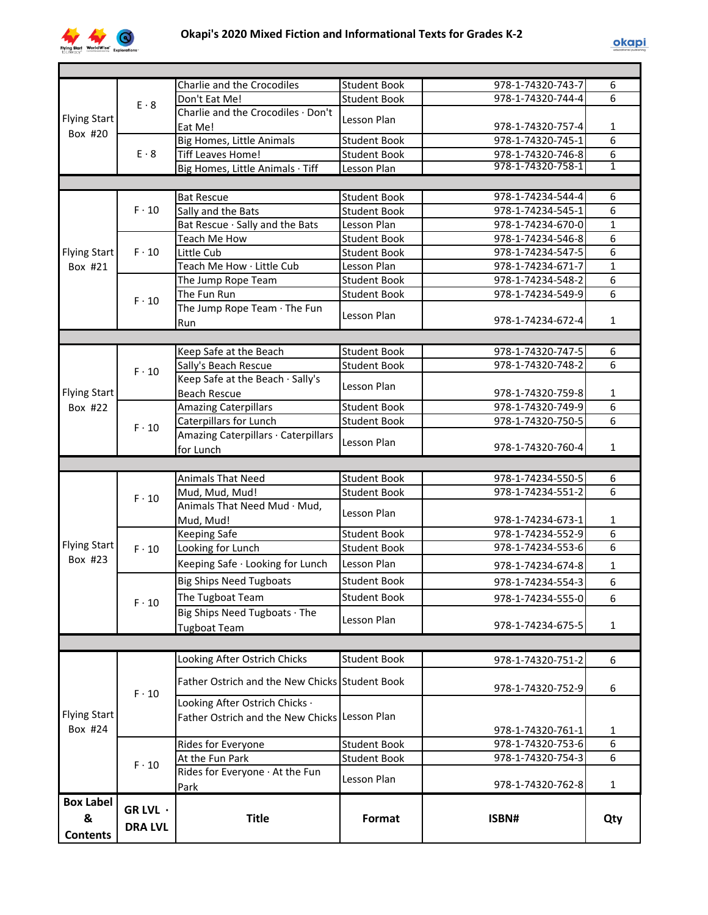

|                     |                | Charlie and the Crocodiles                     | Student Book        | 978-1-74320-743-7 | 6                   |
|---------------------|----------------|------------------------------------------------|---------------------|-------------------|---------------------|
|                     | $E \cdot 8$    | Don't Eat Me!                                  | <b>Student Book</b> | 978-1-74320-744-4 | 6                   |
| <b>Flying Start</b> |                | Charlie and the Crocodiles · Don't             | Lesson Plan         |                   |                     |
| Box #20             |                | Eat Me!                                        |                     | 978-1-74320-757-4 | 1                   |
|                     |                | <b>Big Homes, Little Animals</b>               | <b>Student Book</b> | 978-1-74320-745-1 | 6                   |
|                     | $E \cdot 8$    | <b>Tiff Leaves Home!</b>                       | <b>Student Book</b> | 978-1-74320-746-8 | 6                   |
|                     |                | Big Homes, Little Animals · Tiff               | Lesson Plan         | 978-1-74320-758-1 | 1                   |
|                     |                |                                                |                     |                   |                     |
|                     |                | <b>Bat Rescue</b>                              | <b>Student Book</b> | 978-1-74234-544-4 | 6                   |
|                     | $F \cdot 10$   | Sally and the Bats                             | <b>Student Book</b> | 978-1-74234-545-1 | 6                   |
|                     |                | Bat Rescue · Sally and the Bats                | Lesson Plan         | 978-1-74234-670-0 | $\mathbf{1}$        |
|                     |                | Teach Me How                                   | <b>Student Book</b> | 978-1-74234-546-8 | 6                   |
| <b>Flying Start</b> | $F \cdot 10$   | Little Cub                                     | <b>Student Book</b> | 978-1-74234-547-5 | 6                   |
| Box #21             |                | Teach Me How · Little Cub                      | Lesson Plan         | 978-1-74234-671-7 | $\mathbf{1}$        |
|                     |                | The Jump Rope Team                             | <b>Student Book</b> | 978-1-74234-548-2 | 6                   |
|                     |                | The Fun Run                                    | <b>Student Book</b> | 978-1-74234-549-9 | 6                   |
|                     | $F \cdot 10$   | The Jump Rope Team · The Fun                   |                     |                   |                     |
|                     |                | Run                                            | Lesson Plan         | 978-1-74234-672-4 | $\mathbf{1}$        |
|                     |                |                                                |                     |                   |                     |
|                     |                | Keep Safe at the Beach                         | <b>Student Book</b> | 978-1-74320-747-5 | 6                   |
|                     |                | Sally's Beach Rescue                           | <b>Student Book</b> | 978-1-74320-748-2 | $\overline{6}$      |
|                     | $F \cdot 10$   | Keep Safe at the Beach · Sally's               |                     |                   |                     |
| <b>Flying Start</b> |                | <b>Beach Rescue</b>                            | Lesson Plan         | 978-1-74320-759-8 | $\mathbf{1}$        |
| Box #22             |                | <b>Amazing Caterpillars</b>                    | <b>Student Book</b> | 978-1-74320-749-9 | $\overline{6}$      |
|                     |                | Caterpillars for Lunch                         | <b>Student Book</b> | 978-1-74320-750-5 | 6                   |
|                     | $F \cdot 10$   | Amazing Caterpillars · Caterpillars            |                     |                   |                     |
|                     |                | for Lunch                                      | Lesson Plan         | 978-1-74320-760-4 | $\mathbf{1}$        |
|                     |                |                                                |                     |                   |                     |
|                     |                |                                                | <b>Student Book</b> | 978-1-74234-550-5 | 6                   |
|                     |                | Animals That Need                              |                     |                   | 6                   |
|                     | $F \cdot 10$   | Mud, Mud, Mud!<br>Animals That Need Mud · Mud, | <b>Student Book</b> | 978-1-74234-551-2 |                     |
|                     |                |                                                | Lesson Plan         |                   |                     |
|                     |                | Mud, Mud!                                      |                     | 978-1-74234-673-1 | 1<br>$\overline{6}$ |
| <b>Flying Start</b> |                | <b>Keeping Safe</b>                            | <b>Student Book</b> | 978-1-74234-552-9 | $\overline{6}$      |
| Box #23             | $F \cdot 10$   | Looking for Lunch                              | <b>Student Book</b> | 978-1-74234-553-6 |                     |
|                     |                | Keeping Safe · Looking for Lunch               | Lesson Plan         | 978-1-74234-674-8 | $\mathbf{1}$        |
|                     |                | <b>Big Ships Need Tugboats</b>                 | <b>Student Book</b> | 978-1-74234-554-3 | 6                   |
|                     | $F \cdot 10$   | The Tugboat Team                               | <b>Student Book</b> | 978-1-74234-555-0 | 6                   |
|                     |                | Big Ships Need Tugboats · The                  |                     |                   |                     |
|                     |                | <b>Tugboat Team</b>                            | Lesson Plan         | 978-1-74234-675-5 | $\mathbf{1}$        |
|                     |                |                                                |                     |                   |                     |
|                     |                |                                                | <b>Student Book</b> |                   |                     |
|                     |                | Looking After Ostrich Chicks                   |                     | 978-1-74320-751-2 | 6                   |
|                     |                | Father Ostrich and the New Chicks Student Book |                     |                   |                     |
|                     | $F \cdot 10$   |                                                |                     | 978-1-74320-752-9 | 6                   |
|                     |                | Looking After Ostrich Chicks .                 |                     |                   |                     |
|                     |                |                                                | Lesson Plan         |                   |                     |
| <b>Flying Start</b> |                | Father Ostrich and the New Chicks              |                     |                   |                     |
| Box #24             |                |                                                |                     | 978-1-74320-761-1 | 1                   |
|                     |                | Rides for Everyone                             | <b>Student Book</b> | 978-1-74320-753-6 | $\overline{6}$      |
|                     | $F \cdot 10$   | At the Fun Park                                | <b>Student Book</b> | 978-1-74320-754-3 | 6                   |
|                     |                | Rides for Everyone · At the Fun                |                     |                   |                     |
|                     |                | Park                                           | Lesson Plan         | 978-1-74320-762-8 | 1                   |
| <b>Box Label</b>    |                |                                                |                     |                   |                     |
| &                   | GR LVL ·       | <b>Title</b>                                   | Format              | ISBN#             | Qty                 |
| <b>Contents</b>     | <b>DRA LVL</b> |                                                |                     |                   |                     |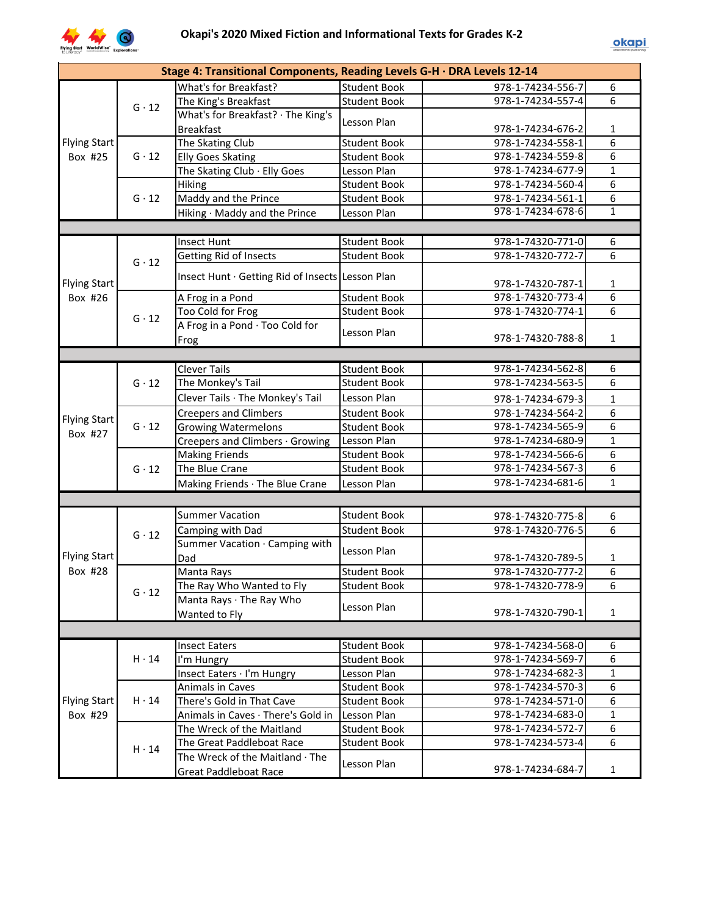

|                     |              | Stage 4: Transitional Components, Reading Levels G-H · DRA Levels 12-14 |                     |                   |                |
|---------------------|--------------|-------------------------------------------------------------------------|---------------------|-------------------|----------------|
|                     |              | What's for Breakfast?                                                   | Student Book        | 978-1-74234-556-7 | 6              |
|                     | $G \cdot 12$ | The King's Breakfast                                                    | <b>Student Book</b> | 978-1-74234-557-4 | $\overline{6}$ |
|                     |              | What's for Breakfast? · The King's                                      |                     |                   |                |
|                     |              | <b>Breakfast</b>                                                        | Lesson Plan         | 978-1-74234-676-2 | 1              |
| Flying Start        |              | The Skating Club                                                        | <b>Student Book</b> | 978-1-74234-558-1 | $\overline{6}$ |
| Box #25             | $G \cdot 12$ | <b>Elly Goes Skating</b>                                                | <b>Student Book</b> | 978-1-74234-559-8 | $\overline{6}$ |
|                     |              | The Skating Club · Elly Goes                                            | Lesson Plan         | 978-1-74234-677-9 | $\mathbf 1$    |
|                     |              | Hiking                                                                  | <b>Student Book</b> | 978-1-74234-560-4 | $\overline{6}$ |
|                     | $G \cdot 12$ | Maddy and the Prince                                                    | <b>Student Book</b> | 978-1-74234-561-1 | $\overline{6}$ |
|                     |              | Hiking · Maddy and the Prince                                           | Lesson Plan         | 978-1-74234-678-6 | $\overline{1}$ |
|                     |              |                                                                         |                     |                   |                |
|                     |              | <b>Insect Hunt</b>                                                      | <b>Student Book</b> | 978-1-74320-771-0 | 6              |
|                     | $G \cdot 12$ | <b>Getting Rid of Insects</b>                                           | <b>Student Book</b> | 978-1-74320-772-7 | 6              |
|                     |              |                                                                         |                     |                   |                |
| <b>Flying Start</b> |              | Insect Hunt · Getting Rid of Insects Lesson Plan                        |                     | 978-1-74320-787-1 | $\mathbf{1}$   |
| Box #26             |              | A Frog in a Pond                                                        | <b>Student Book</b> | 978-1-74320-773-4 | 6              |
|                     | $G \cdot 12$ | Too Cold for Frog                                                       | <b>Student Book</b> | 978-1-74320-774-1 | 6              |
|                     |              | A Frog in a Pond · Too Cold for                                         |                     |                   |                |
|                     |              | Frog                                                                    | Lesson Plan         | 978-1-74320-788-8 | $\mathbf{1}$   |
|                     |              |                                                                         |                     |                   |                |
|                     |              | <b>Clever Tails</b>                                                     | <b>Student Book</b> | 978-1-74234-562-8 | 6              |
|                     | $G \cdot 12$ | The Monkey's Tail                                                       | <b>Student Book</b> | 978-1-74234-563-5 | $\overline{6}$ |
|                     |              | Clever Tails · The Monkey's Tail                                        | Lesson Plan         | 978-1-74234-679-3 | $\mathbf{1}$   |
|                     | $G \cdot 12$ | <b>Creepers and Climbers</b>                                            | <b>Student Book</b> | 978-1-74234-564-2 | $\overline{6}$ |
| <b>Flying Start</b> |              | <b>Growing Watermelons</b>                                              | <b>Student Book</b> | 978-1-74234-565-9 | $\overline{6}$ |
| Box #27             |              | Creepers and Climbers · Growing                                         | Lesson Plan         | 978-1-74234-680-9 | $\mathbf{1}$   |
|                     |              | <b>Making Friends</b>                                                   | <b>Student Book</b> | 978-1-74234-566-6 | $\overline{6}$ |
|                     | $G \cdot 12$ | The Blue Crane                                                          | <b>Student Book</b> | 978-1-74234-567-3 | $\overline{6}$ |
|                     |              | Making Friends · The Blue Crane                                         | Lesson Plan         | 978-1-74234-681-6 | $\mathbf{1}$   |
|                     |              |                                                                         |                     |                   |                |
|                     |              | <b>Summer Vacation</b>                                                  | <b>Student Book</b> | 978-1-74320-775-8 | 6              |
|                     |              | Camping with Dad                                                        | <b>Student Book</b> | 978-1-74320-776-5 | 6              |
|                     | $G \cdot 12$ | Summer Vacation · Camping with                                          |                     |                   |                |
| <b>Flying Start</b> |              | Dad                                                                     | Lesson Plan         | 978-1-74320-789-5 | $\mathbf{1}$   |
| Box #28             |              | Manta Rays                                                              | <b>Student Book</b> | 978-1-74320-777-2 | 6              |
|                     |              | The Ray Who Wanted to Fly                                               | <b>Student Book</b> | 978-1-74320-778-9 | 6              |
|                     | $G \cdot 12$ | Manta Rays · The Ray Who                                                |                     |                   |                |
|                     |              | Wanted to Fly                                                           | Lesson Plan         | 978-1-74320-790-1 | $\mathbf{1}$   |
|                     |              |                                                                         |                     |                   |                |
|                     |              | <b>Insect Eaters</b>                                                    | <b>Student Book</b> | 978-1-74234-568-0 | 6              |
|                     | $H \cdot 14$ | I'm Hungry                                                              | <b>Student Book</b> | 978-1-74234-569-7 | 6              |
|                     |              | Insect Eaters · I'm Hungry                                              | Lesson Plan         | 978-1-74234-682-3 | $\mathbf{1}$   |
|                     |              | Animals in Caves                                                        | <b>Student Book</b> | 978-1-74234-570-3 | 6              |
| <b>Flying Start</b> | $H \cdot 14$ | There's Gold in That Cave                                               | <b>Student Book</b> | 978-1-74234-571-0 | 6              |
| Box #29             |              | Animals in Caves · There's Gold in                                      | Lesson Plan         | 978-1-74234-683-0 | $\mathbf{1}$   |
|                     |              | The Wreck of the Maitland                                               | <b>Student Book</b> | 978-1-74234-572-7 | 6              |
|                     |              | The Great Paddleboat Race                                               | <b>Student Book</b> | 978-1-74234-573-4 | 6              |
|                     | $H \cdot 14$ | The Wreck of the Maitland · The                                         |                     |                   |                |
|                     |              | <b>Great Paddleboat Race</b>                                            | Lesson Plan         | 978-1-74234-684-7 | $\mathbf{1}$   |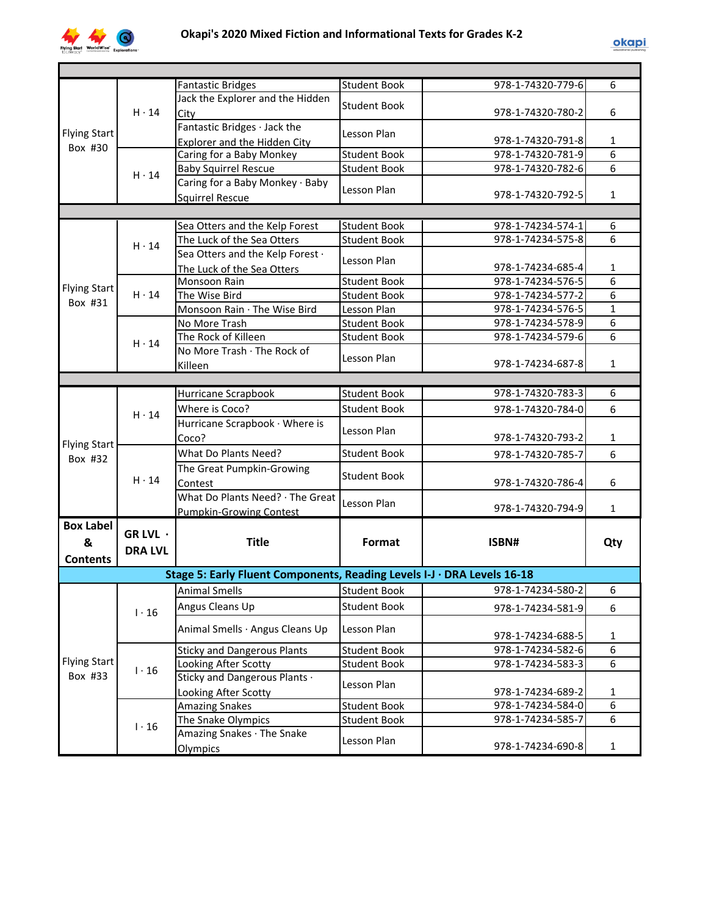

|                     |                | <b>Fantastic Bridges</b>                                                | <b>Student Book</b> | 978-1-74320-779-6 | 6               |
|---------------------|----------------|-------------------------------------------------------------------------|---------------------|-------------------|-----------------|
|                     |                | Jack the Explorer and the Hidden                                        | <b>Student Book</b> |                   |                 |
|                     | $H \cdot 14$   | City                                                                    |                     | 978-1-74320-780-2 | 6               |
| Flying Start        |                | Fantastic Bridges · Jack the                                            | Lesson Plan         |                   |                 |
| Box #30             |                | Explorer and the Hidden City                                            |                     | 978-1-74320-791-8 | $\mathbf{1}$    |
|                     |                | Caring for a Baby Monkey                                                | <b>Student Book</b> | 978-1-74320-781-9 | $\overline{6}$  |
|                     | $H \cdot 14$   | <b>Baby Squirrel Rescue</b>                                             | <b>Student Book</b> | 978-1-74320-782-6 | 6               |
|                     |                | Caring for a Baby Monkey · Baby                                         | Lesson Plan         |                   |                 |
|                     |                | <b>Squirrel Rescue</b>                                                  |                     | 978-1-74320-792-5 | 1               |
|                     |                |                                                                         |                     |                   |                 |
|                     |                | Sea Otters and the Kelp Forest                                          | <b>Student Book</b> | 978-1-74234-574-1 | 6               |
|                     | $H \cdot 14$   | The Luck of the Sea Otters                                              | <b>Student Book</b> | 978-1-74234-575-8 | 6               |
|                     |                | Sea Otters and the Kelp Forest .                                        | Lesson Plan         |                   |                 |
|                     |                | The Luck of the Sea Otters                                              |                     | 978-1-74234-685-4 | $\mathbf{1}$    |
| <b>Flying Start</b> |                | Monsoon Rain                                                            | <b>Student Book</b> | 978-1-74234-576-5 | 6               |
| Box #31             | $H \cdot 14$   | The Wise Bird                                                           | <b>Student Book</b> | 978-1-74234-577-2 | 6               |
|                     |                | Monsoon Rain · The Wise Bird                                            | Lesson Plan         | 978-1-74234-576-5 | $\mathbf{1}$    |
|                     |                | No More Trash                                                           | <b>Student Book</b> | 978-1-74234-578-9 | 6               |
|                     | $H \cdot 14$   | The Rock of Killeen                                                     | <b>Student Book</b> | 978-1-74234-579-6 | 6               |
|                     |                | No More Trash · The Rock of                                             | Lesson Plan         | 978-1-74234-687-8 | $\mathbf{1}$    |
|                     |                | Killeen                                                                 |                     |                   |                 |
|                     |                |                                                                         |                     |                   |                 |
|                     | $H \cdot 14$   | Hurricane Scrapbook                                                     | <b>Student Book</b> | 978-1-74320-783-3 | 6               |
|                     |                | Where is Coco?                                                          | <b>Student Book</b> | 978-1-74320-784-0 | 6               |
|                     |                | Hurricane Scrapbook · Where is                                          | Lesson Plan         |                   |                 |
| <b>Flying Start</b> |                | Coco?                                                                   |                     | 978-1-74320-793-2 | 1               |
| Box #32             | $H \cdot 14$   | What Do Plants Need?                                                    | <b>Student Book</b> | 978-1-74320-785-7 | 6               |
|                     |                | The Great Pumpkin-Growing                                               | Student Book        |                   |                 |
|                     |                | Contest                                                                 |                     | 978-1-74320-786-4 | 6               |
|                     |                | What Do Plants Need? · The Great                                        | Lesson Plan         |                   |                 |
|                     |                | Pumpkin-Growing Contest                                                 |                     | 978-1-74320-794-9 | $\mathbf{1}$    |
| <b>Box Label</b>    | GR LVL $\cdot$ |                                                                         |                     |                   |                 |
| &                   |                | <b>Title</b>                                                            | Format              | ISBN#             | Qty             |
| <b>Contents</b>     | <b>DRA LVL</b> |                                                                         |                     |                   |                 |
|                     |                | Stage 5: Early Fluent Components, Reading Levels I-J · DRA Levels 16-18 |                     |                   |                 |
|                     |                | <b>Animal Smells</b>                                                    | <b>Student Book</b> | 978-1-74234-580-2 | 6               |
|                     |                | Angus Cleans Up                                                         | <b>Student Book</b> | 978-1-74234-581-9 | 6               |
|                     | $1 \cdot 16$   |                                                                         |                     |                   |                 |
|                     |                | Animal Smells · Angus Cleans Up                                         | Lesson Plan         | 978-1-74234-688-5 | $\mathbf{1}$    |
|                     |                | <b>Sticky and Dangerous Plants</b>                                      | <b>Student Book</b> | 978-1-74234-582-6 | $\overline{6}$  |
| Flying Start        |                | Looking After Scotty                                                    | <b>Student Book</b> | 978-1-74234-583-3 | $\overline{6}$  |
| Box #33             | $1 \cdot 16$   | Sticky and Dangerous Plants .                                           |                     |                   |                 |
|                     |                | Looking After Scotty                                                    | Lesson Plan         | 978-1-74234-689-2 | 1               |
|                     |                | <b>Amazing Snakes</b>                                                   | <b>Student Book</b> | 978-1-74234-584-0 | $6 \overline{}$ |
|                     |                | The Snake Olympics                                                      | <b>Student Book</b> | 978-1-74234-585-7 | $\overline{6}$  |
|                     | $1 \cdot 16$   | Amazing Snakes · The Snake                                              |                     |                   |                 |
|                     |                | Olympics                                                                | Lesson Plan         | 978-1-74234-690-8 | $\mathbf{1}$    |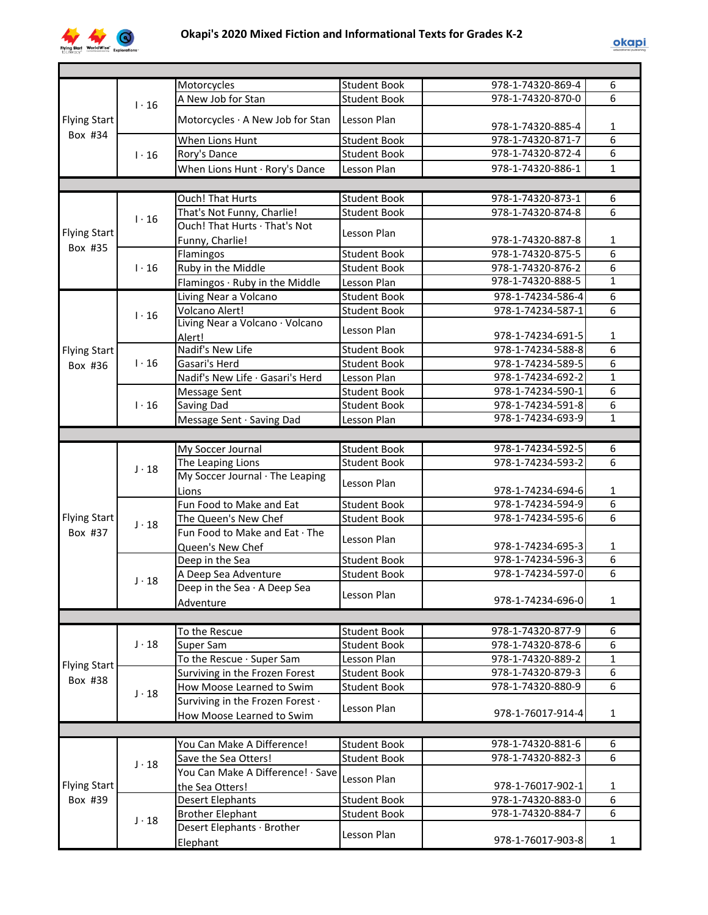

|                     |              | Motorcycles                       | <b>Student Book</b> | 978-1-74320-869-4 | 6              |
|---------------------|--------------|-----------------------------------|---------------------|-------------------|----------------|
|                     | $1 \cdot 16$ | A New Job for Stan                | <b>Student Book</b> | 978-1-74320-870-0 | 6              |
|                     |              |                                   |                     |                   |                |
| <b>Flying Start</b> |              | Motorcycles · A New Job for Stan  | Lesson Plan         | 978-1-74320-885-4 | 1              |
| Box #34             |              | When Lions Hunt                   | <b>Student Book</b> | 978-1-74320-871-7 | $\overline{6}$ |
|                     | $1 \cdot 16$ | Rory's Dance                      | <b>Student Book</b> | 978-1-74320-872-4 | $\overline{6}$ |
|                     |              | When Lions Hunt · Rory's Dance    | Lesson Plan         | 978-1-74320-886-1 | $\mathbf{1}$   |
|                     |              |                                   |                     |                   |                |
|                     |              | <b>Ouch! That Hurts</b>           | <b>Student Book</b> | 978-1-74320-873-1 | 6              |
|                     |              | That's Not Funny, Charlie!        | <b>Student Book</b> | 978-1-74320-874-8 | 6              |
|                     | $1 \cdot 16$ | Ouch! That Hurts · That's Not     |                     |                   |                |
| <b>Flying Start</b> |              |                                   | Lesson Plan         |                   |                |
| Box #35             |              | Funny, Charlie!                   |                     | 978-1-74320-887-8 | $\mathbf{1}$   |
|                     |              | Flamingos                         | <b>Student Book</b> | 978-1-74320-875-5 | $\overline{6}$ |
|                     | $1 \cdot 16$ | Ruby in the Middle                | <b>Student Book</b> | 978-1-74320-876-2 | 6              |
|                     |              | Flamingos · Ruby in the Middle    | Lesson Plan         | 978-1-74320-888-5 | $\mathbf{1}$   |
|                     |              | Living Near a Volcano             | <b>Student Book</b> | 978-1-74234-586-4 | $\overline{6}$ |
|                     | $1 \cdot 16$ | Volcano Alert!                    | <b>Student Book</b> | 978-1-74234-587-1 | 6              |
|                     |              | Living Near a Volcano · Volcano   | Lesson Plan         |                   |                |
|                     |              | Alert!                            |                     | 978-1-74234-691-5 | $\mathbf{1}$   |
| <b>Flying Start</b> |              | Nadif's New Life                  | <b>Student Book</b> | 978-1-74234-588-8 | 6              |
| Box #36             | $1 \cdot 16$ | Gasari's Herd                     | <b>Student Book</b> | 978-1-74234-589-5 | 6              |
|                     |              | Nadif's New Life · Gasari's Herd  | Lesson Plan         | 978-1-74234-692-2 | $\mathbf{1}$   |
|                     |              | Message Sent                      | <b>Student Book</b> | 978-1-74234-590-1 | 6              |
|                     | $1 \cdot 16$ | Saving Dad                        | <b>Student Book</b> | 978-1-74234-591-8 | 6              |
|                     |              | Message Sent · Saving Dad         | Lesson Plan         | 978-1-74234-693-9 | $\mathbf{1}$   |
|                     |              |                                   |                     |                   |                |
|                     |              | My Soccer Journal                 | <b>Student Book</b> | 978-1-74234-592-5 | $\overline{6}$ |
|                     |              | The Leaping Lions                 | <b>Student Book</b> | 978-1-74234-593-2 | 6              |
|                     | $J \cdot 18$ | My Soccer Journal · The Leaping   |                     |                   |                |
|                     |              | Lions                             | Lesson Plan         | 978-1-74234-694-6 | $\mathbf{1}$   |
|                     |              | Fun Food to Make and Eat          | <b>Student Book</b> | 978-1-74234-594-9 | 6              |
| <b>Flying Start</b> |              | The Queen's New Chef              | <b>Student Book</b> | 978-1-74234-595-6 | 6              |
| Box #37             | $J \cdot 18$ | Fun Food to Make and Eat · The    |                     |                   |                |
|                     |              |                                   | Lesson Plan         | 978-1-74234-695-3 | $\mathbf{1}$   |
|                     |              | Queen's New Chef                  |                     | 978-1-74234-596-3 | 6              |
|                     |              | Deep in the Sea                   | <b>Student Book</b> | 978-1-74234-597-0 | 6              |
|                     | $J \cdot 18$ | A Deep Sea Adventure              | <b>Student Book</b> |                   |                |
|                     |              | Deep in the Sea · A Deep Sea      | Lesson Plan         |                   |                |
|                     |              | Adventure                         |                     | 978-1-74234-696-0 | 1              |
|                     |              |                                   |                     |                   |                |
|                     |              | To the Rescue                     | <b>Student Book</b> | 978-1-74320-877-9 | 6              |
|                     | $J \cdot 18$ | Super Sam                         | <b>Student Book</b> | 978-1-74320-878-6 | 6              |
| <b>Flying Start</b> |              | To the Rescue · Super Sam         | Lesson Plan         | 978-1-74320-889-2 | $\mathbf{1}$   |
| Box #38             |              | Surviving in the Frozen Forest    | <b>Student Book</b> | 978-1-74320-879-3 | 6              |
|                     |              | How Moose Learned to Swim         | <b>Student Book</b> | 978-1-74320-880-9 | $\overline{6}$ |
|                     | $J \cdot 18$ | Surviving in the Frozen Forest .  |                     |                   |                |
|                     |              | How Moose Learned to Swim         | Lesson Plan         | 978-1-76017-914-4 | $\mathbf{1}$   |
|                     |              |                                   |                     |                   |                |
|                     |              | You Can Make A Difference!        | <b>Student Book</b> | 978-1-74320-881-6 | 6              |
|                     |              | Save the Sea Otters!              | <b>Student Book</b> | 978-1-74320-882-3 | 6              |
|                     | $J \cdot 18$ | You Can Make A Difference! · Save |                     |                   |                |
| <b>Flying Start</b> |              | the Sea Otters!                   | Lesson Plan         | 978-1-76017-902-1 | $\mathbf{1}$   |
| Box #39             |              | <b>Desert Elephants</b>           | <b>Student Book</b> | 978-1-74320-883-0 | 6              |
|                     |              |                                   | <b>Student Book</b> | 978-1-74320-884-7 | 6              |
|                     | $J \cdot 18$ | <b>Brother Elephant</b>           |                     |                   |                |
|                     |              | Desert Elephants · Brother        | Lesson Plan         |                   |                |
|                     |              | Elephant                          |                     | 978-1-76017-903-8 | $\mathbf{1}$   |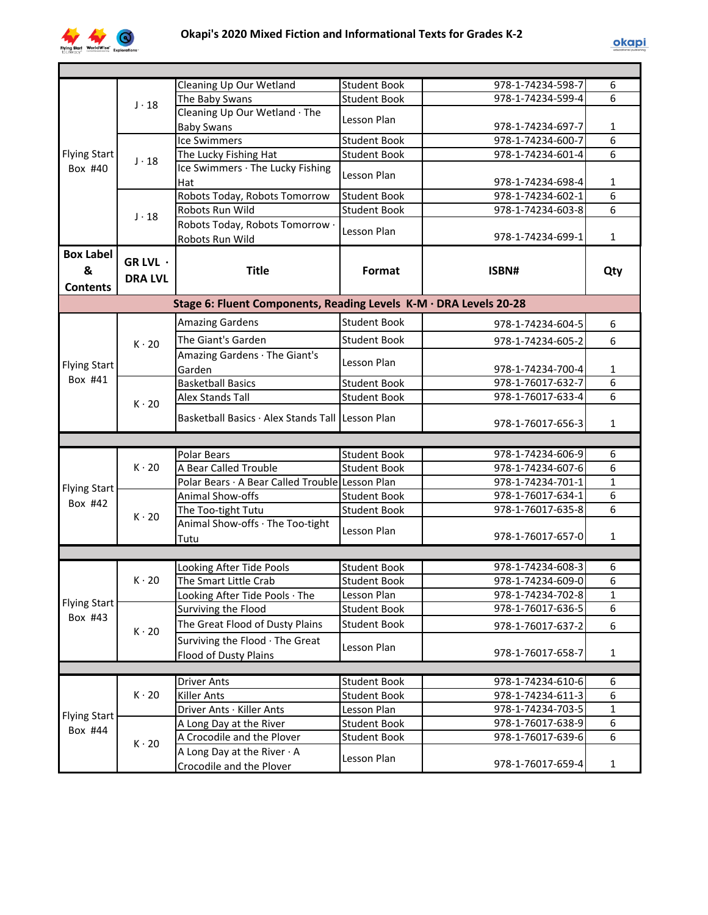

|                                          |                            | Cleaning Up Our Wetland                                           | <b>Student Book</b> | 978-1-74234-598-7 | 6            |
|------------------------------------------|----------------------------|-------------------------------------------------------------------|---------------------|-------------------|--------------|
|                                          | $J \cdot 18$               | The Baby Swans                                                    | <b>Student Book</b> | 978-1-74234-599-4 | 6            |
|                                          |                            | Cleaning Up Our Wetland The                                       | Lesson Plan         |                   |              |
|                                          |                            | <b>Baby Swans</b>                                                 |                     | 978-1-74234-697-7 | 1            |
|                                          |                            | <b>Ice Swimmers</b>                                               | Student Book        | 978-1-74234-600-7 | 6            |
| <b>Flying Start</b><br>Box #40           | $J \cdot 18$               | The Lucky Fishing Hat                                             | <b>Student Book</b> | 978-1-74234-601-4 | 6            |
|                                          |                            | Ice Swimmers · The Lucky Fishing<br>Hat                           | Lesson Plan         | 978-1-74234-698-4 | 1            |
|                                          |                            | Robots Today, Robots Tomorrow                                     | <b>Student Book</b> | 978-1-74234-602-1 | 6            |
|                                          | $J \cdot 18$               | Robots Run Wild                                                   | <b>Student Book</b> | 978-1-74234-603-8 | 6            |
|                                          |                            | Robots Today, Robots Tomorrow .<br>Robots Run Wild                | Lesson Plan         | 978-1-74234-699-1 | 1            |
| <b>Box Label</b><br>&<br><b>Contents</b> | GR LVL ·<br><b>DRA LVL</b> | <b>Title</b>                                                      | Format              | ISBN#             | Qty          |
|                                          |                            | Stage 6: Fluent Components, Reading Levels K-M · DRA Levels 20-28 |                     |                   |              |
|                                          |                            | <b>Amazing Gardens</b>                                            | <b>Student Book</b> | 978-1-74234-604-5 | 6            |
|                                          |                            | The Giant's Garden                                                | <b>Student Book</b> | 978-1-74234-605-2 | 6            |
|                                          | $K \cdot 20$               | Amazing Gardens · The Giant's                                     |                     |                   |              |
| <b>Flying Start</b>                      |                            | Garden                                                            | Lesson Plan         | 978-1-74234-700-4 | 1            |
| Box #41                                  |                            | <b>Basketball Basics</b>                                          | <b>Student Book</b> | 978-1-76017-632-7 | 6            |
|                                          | $K \cdot 20$               | <b>Alex Stands Tall</b>                                           | <b>Student Book</b> | 978-1-76017-633-4 | 6            |
|                                          |                            |                                                                   |                     |                   |              |
|                                          |                            | Basketball Basics · Alex Stands Tall Lesson Plan                  |                     | 978-1-76017-656-3 | $\mathbf{1}$ |
|                                          |                            |                                                                   |                     |                   |              |
|                                          |                            | <b>Polar Bears</b>                                                | <b>Student Book</b> | 978-1-74234-606-9 | 6            |
|                                          | $K \cdot 20$               | A Bear Called Trouble                                             | <b>Student Book</b> | 978-1-74234-607-6 | 6            |
|                                          |                            | Polar Bears · A Bear Called Trouble Lesson Plan                   |                     | 978-1-74234-701-1 | $\mathbf{1}$ |
| <b>Flying Start</b><br>Box #42           |                            | Animal Show-offs                                                  | <b>Student Book</b> | 978-1-76017-634-1 | 6            |
|                                          | $K \cdot 20$               | The Too-tight Tutu                                                | <b>Student Book</b> | 978-1-76017-635-8 | 6            |
|                                          |                            | Animal Show-offs · The Too-tight<br>Tutu                          | Lesson Plan         | 978-1-76017-657-0 | 1            |
|                                          |                            |                                                                   |                     |                   |              |
|                                          |                            | Looking After Tide Pools                                          | Student Book        | 978-1-74234-608-3 | 6            |
|                                          | $K \cdot 20$               | The Smart Little Crab                                             | <b>Student Book</b> | 978-1-74234-609-0 | 6            |
|                                          |                            | Looking After Tide Pools · The                                    | Lesson Plan         | 978-1-74234-702-8 | 1            |
| <b>Flying Start</b>                      |                            | Surviving the Flood                                               | <b>Student Book</b> | 978-1-76017-636-5 | 6            |
| Box #43                                  |                            | The Great Flood of Dusty Plains                                   | <b>Student Book</b> | 978-1-76017-637-2 | 6            |
|                                          | $K \cdot 20$               | Surviving the Flood · The Great                                   |                     |                   |              |
|                                          |                            | <b>Flood of Dusty Plains</b>                                      | Lesson Plan         | 978-1-76017-658-7 | $\mathbf{1}$ |
|                                          |                            |                                                                   |                     |                   |              |
|                                          |                            | <b>Driver Ants</b>                                                | <b>Student Book</b> | 978-1-74234-610-6 | 6            |
|                                          | $K \cdot 20$               | <b>Killer Ants</b>                                                | <b>Student Book</b> | 978-1-74234-611-3 | 6            |
| <b>Flying Start</b>                      |                            | Driver Ants · Killer Ants                                         | Lesson Plan         | 978-1-74234-703-5 | $\mathbf{1}$ |
| Box #44                                  |                            | A Long Day at the River                                           | <b>Student Book</b> | 978-1-76017-638-9 | 6            |
|                                          | $K \cdot 20$               | A Crocodile and the Plover                                        | <b>Student Book</b> | 978-1-76017-639-6 | 6            |
|                                          |                            | A Long Day at the River $\cdot$ A                                 | Lesson Plan         |                   |              |
|                                          |                            | Crocodile and the Plover                                          |                     | 978-1-76017-659-4 | 1            |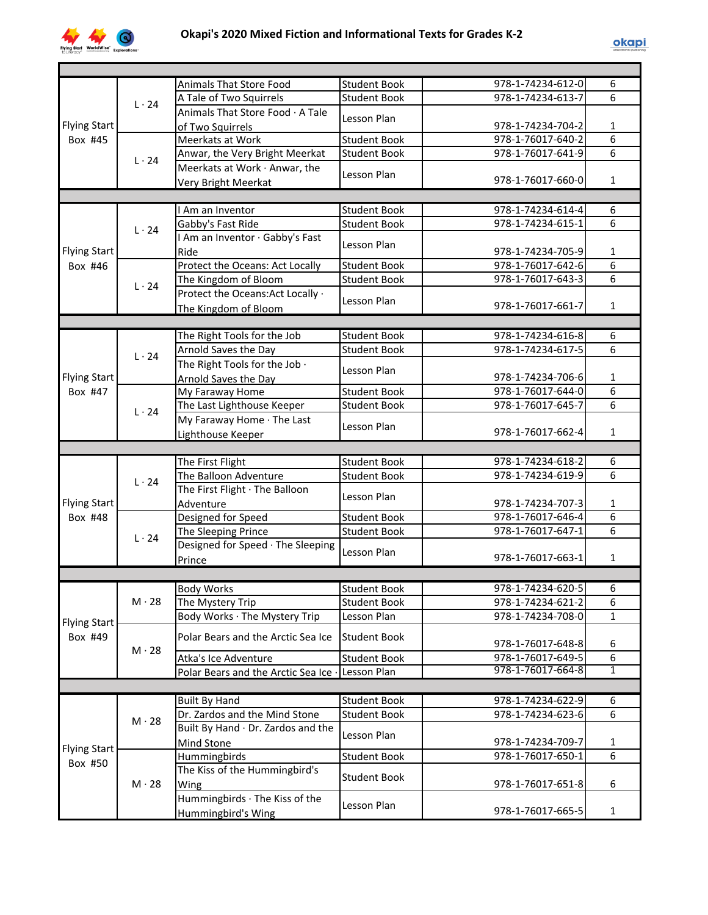

|                     |              | Animals That Store Food              | <b>Student Book</b> | 978-1-74234-612-0 | 6              |
|---------------------|--------------|--------------------------------------|---------------------|-------------------|----------------|
|                     | $L \cdot 24$ | A Tale of Two Squirrels              | <b>Student Book</b> | 978-1-74234-613-7 | 6              |
|                     |              | Animals That Store Food · A Tale     | Lesson Plan         |                   |                |
| <b>Flying Start</b> |              | of Two Squirrels                     |                     | 978-1-74234-704-2 | 1              |
| Box #45             |              | <b>Meerkats at Work</b>              | <b>Student Book</b> | 978-1-76017-640-2 | 6              |
|                     | $L \cdot 24$ | Anwar, the Very Bright Meerkat       | <b>Student Book</b> | 978-1-76017-641-9 | 6              |
|                     |              | Meerkats at Work · Anwar, the        | Lesson Plan         |                   |                |
|                     |              | <b>Very Bright Meerkat</b>           |                     | 978-1-76017-660-0 | 1              |
|                     |              |                                      |                     |                   |                |
|                     |              | I Am an Inventor                     | <b>Student Book</b> | 978-1-74234-614-4 | 6              |
|                     | $L \cdot 24$ | Gabby's Fast Ride                    | <b>Student Book</b> | 978-1-74234-615-1 | $\overline{6}$ |
|                     |              | I Am an Inventor · Gabby's Fast      |                     |                   |                |
| <b>Flying Start</b> |              | Ride                                 | Lesson Plan         | 978-1-74234-705-9 | $\mathbf{1}$   |
| Box #46             |              | Protect the Oceans: Act Locally      | <b>Student Book</b> | 978-1-76017-642-6 | $\overline{6}$ |
|                     |              | The Kingdom of Bloom                 | <b>Student Book</b> | 978-1-76017-643-3 | $\overline{6}$ |
|                     | $L \cdot 24$ | Protect the Oceans: Act Locally ·    |                     |                   |                |
|                     |              | The Kingdom of Bloom                 | Lesson Plan         | 978-1-76017-661-7 | 1              |
|                     |              |                                      |                     |                   |                |
|                     |              | The Right Tools for the Job          | <b>Student Book</b> | 978-1-74234-616-8 | 6              |
|                     |              | Arnold Saves the Day                 | <b>Student Book</b> | 978-1-74234-617-5 | 6              |
|                     | $L \cdot 24$ | The Right Tools for the Job .        |                     |                   |                |
| <b>Flying Start</b> |              | Arnold Saves the Day                 | Lesson Plan         | 978-1-74234-706-6 | 1              |
| Box #47             |              | My Faraway Home                      | <b>Student Book</b> | 978-1-76017-644-0 | 6              |
|                     | $L \cdot 24$ | The Last Lighthouse Keeper           | <b>Student Book</b> | 978-1-76017-645-7 | 6              |
|                     |              | My Faraway Home · The Last           |                     |                   |                |
|                     |              | Lighthouse Keeper                    | Lesson Plan         | 978-1-76017-662-4 | 1              |
|                     |              |                                      |                     |                   |                |
|                     |              | The First Flight                     | <b>Student Book</b> | 978-1-74234-618-2 | 6              |
|                     | $L \cdot 24$ | The Balloon Adventure                | <b>Student Book</b> | 978-1-74234-619-9 | 6              |
|                     |              | The First Flight · The Balloon       |                     |                   |                |
| <b>Flying Start</b> |              | Adventure                            | Lesson Plan         | 978-1-74234-707-3 | $\mathbf{1}$   |
| Box #48             |              | Designed for Speed                   | <b>Student Book</b> | 978-1-76017-646-4 | 6              |
|                     |              | The Sleeping Prince                  | <b>Student Book</b> | 978-1-76017-647-1 | 6              |
|                     | $L \cdot 24$ | Designed for Speed · The Sleeping    |                     |                   |                |
|                     |              | Prince                               | Lesson Plan         | 978-1-76017-663-1 | $\mathbf{1}$   |
|                     |              |                                      |                     |                   |                |
|                     |              | <b>Body Works</b>                    | Student Book        | 978-1-74234-620-5 | 6              |
|                     | $M \cdot 28$ | The Mystery Trip                     | <b>Student Book</b> | 978-1-74234-621-2 | 6              |
|                     |              | Body Works · The Mystery Trip        | Lesson Plan         | 978-1-74234-708-0 | $\mathbf{1}$   |
| <b>Flying Start</b> |              |                                      |                     |                   |                |
| Box #49             |              | Polar Bears and the Arctic Sea Ice   | <b>Student Book</b> | 978-1-76017-648-8 | 6              |
|                     | $M \cdot 28$ | Atka's Ice Adventure                 | <b>Student Book</b> | 978-1-76017-649-5 | 6              |
|                     |              | Polar Bears and the Arctic Sea Ice . | Lesson Plan         | 978-1-76017-664-8 | $\overline{1}$ |
|                     |              |                                      |                     |                   |                |
|                     |              | <b>Built By Hand</b>                 | <b>Student Book</b> | 978-1-74234-622-9 | 6              |
|                     |              | Dr. Zardos and the Mind Stone        | <b>Student Book</b> | 978-1-74234-623-6 | 6              |
|                     | $M \cdot 28$ | Built By Hand · Dr. Zardos and the   |                     |                   |                |
|                     |              | Mind Stone                           | Lesson Plan         | 978-1-74234-709-7 | 1              |
| <b>Flying Start</b> |              | Hummingbirds                         | <b>Student Book</b> | 978-1-76017-650-1 | 6              |
| Box #50             |              | The Kiss of the Hummingbird's        |                     |                   |                |
|                     | $M \cdot 28$ | Wing                                 | <b>Student Book</b> | 978-1-76017-651-8 | 6              |
|                     |              | Hummingbirds · The Kiss of the       |                     |                   |                |
|                     |              |                                      | Lesson Plan         | 978-1-76017-665-5 | 1              |
|                     |              | Hummingbird's Wing                   |                     |                   |                |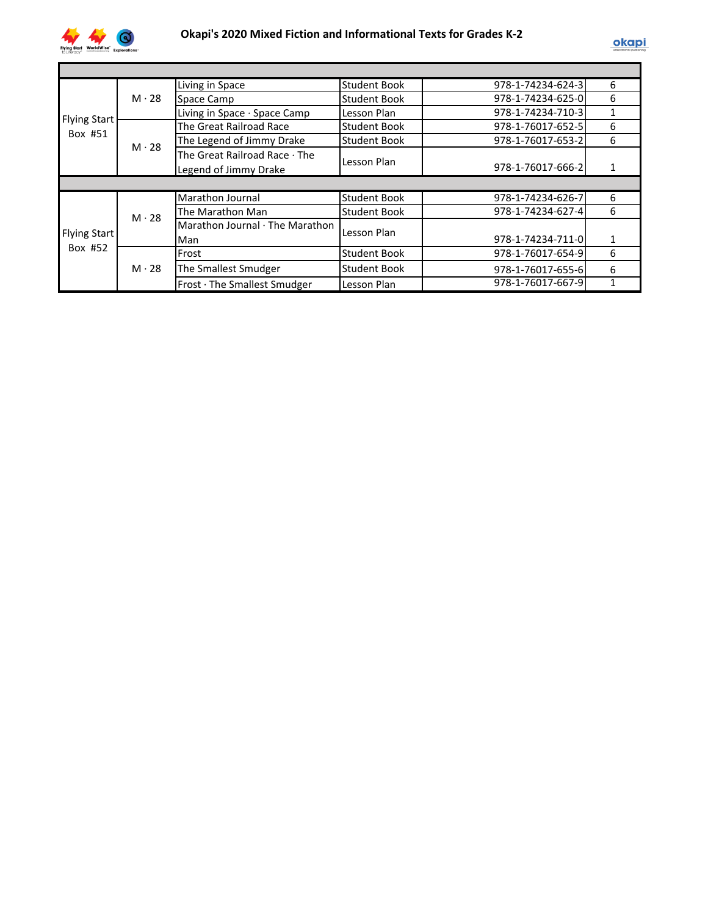

|                                                                                                                                                                                                                                                                                                                    |                   | Living in Space               | <b>Student Book</b> | 978-1-74234-624-3 | 6 |
|--------------------------------------------------------------------------------------------------------------------------------------------------------------------------------------------------------------------------------------------------------------------------------------------------------------------|-------------------|-------------------------------|---------------------|-------------------|---|
|                                                                                                                                                                                                                                                                                                                    | $M \cdot 28$      | Space Camp                    | <b>Student Book</b> | 978-1-74234-625-0 | 6 |
|                                                                                                                                                                                                                                                                                                                    |                   | Living in Space · Space Camp  | Lesson Plan         | 978-1-74234-710-3 |   |
|                                                                                                                                                                                                                                                                                                                    |                   | The Great Railroad Race       | Student Book        | 978-1-76017-652-5 | 6 |
|                                                                                                                                                                                                                                                                                                                    |                   | The Legend of Jimmy Drake     | <b>Student Book</b> | 978-1-76017-653-2 | 6 |
|                                                                                                                                                                                                                                                                                                                    |                   | The Great Railroad Race · The |                     |                   |   |
|                                                                                                                                                                                                                                                                                                                    |                   | Legend of Jimmy Drake         |                     | 978-1-76017-666-2 |   |
|                                                                                                                                                                                                                                                                                                                    |                   |                               |                     |                   |   |
|                                                                                                                                                                                                                                                                                                                    |                   | Marathon Journal              | <b>Student Book</b> | 978-1-74234-626-7 | 6 |
| <b>Flying Start</b><br>Box #51<br>$M \cdot 28$<br>Lesson Plan<br>The Marathon Man<br><b>Student Book</b><br>$M \cdot 28$<br>Marathon Journal · The Marathon<br>Lesson Plan<br><b>Flying Start</b><br>Man<br>Box #52<br><b>Student Book</b><br>Frost<br>$M \cdot 28$<br>The Smallest Smudger<br><b>Student Book</b> | 978-1-74234-627-4 | 6                             |                     |                   |   |
|                                                                                                                                                                                                                                                                                                                    |                   |                               |                     |                   |   |
|                                                                                                                                                                                                                                                                                                                    |                   |                               |                     | 978-1-74234-711-0 | 1 |
|                                                                                                                                                                                                                                                                                                                    |                   |                               |                     | 978-1-76017-654-9 | 6 |
|                                                                                                                                                                                                                                                                                                                    |                   |                               |                     | 978-1-76017-655-6 | 6 |
|                                                                                                                                                                                                                                                                                                                    |                   | Frost · The Smallest Smudger  | Lesson Plan         | 978-1-76017-667-9 |   |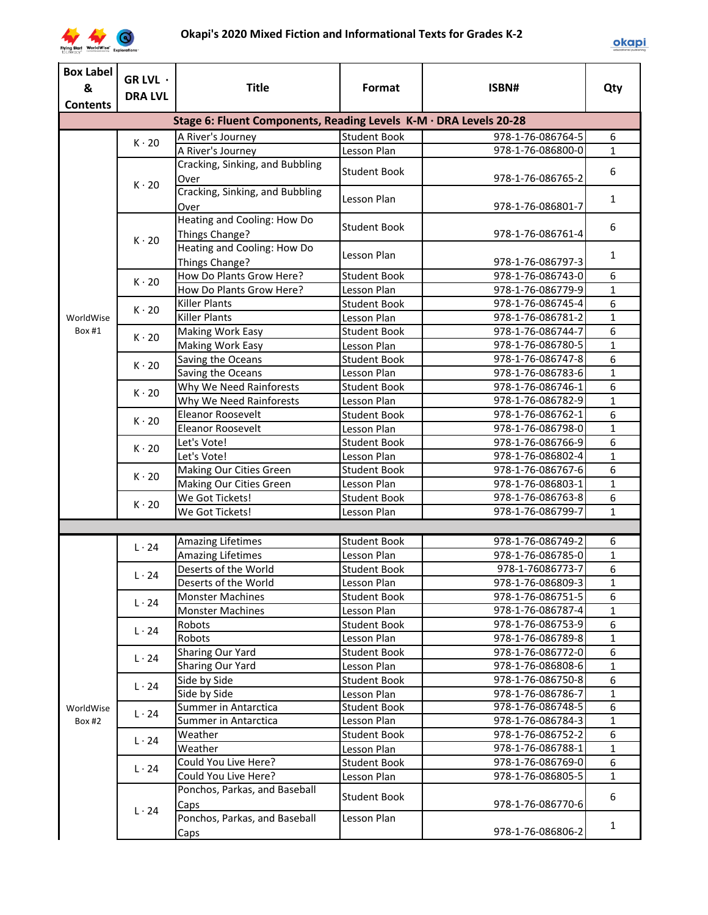

| &<br><b>Title</b><br>Format<br>ISBN#<br>Qty<br><b>DRA LVL</b><br><b>Contents</b><br>Stage 6: Fluent Components, Reading Levels K-M · DRA Levels 20-28<br><b>Student Book</b><br>978-1-76-086764-5<br>6<br>A River's Journey<br>$K \cdot 20$<br>A River's Journey<br>Lesson Plan<br>978-1-76-086800-0<br>$\mathbf{1}$<br>Cracking, Sinking, and Bubbling<br><b>Student Book</b><br>6<br>978-1-76-086765-2<br>Over<br>$K \cdot 20$<br>Cracking, Sinking, and Bubbling<br>Lesson Plan<br>$\mathbf{1}$<br>978-1-76-086801-7<br>Over<br>Heating and Cooling: How Do<br>6<br><b>Student Book</b><br>978-1-76-086761-4<br>Things Change?<br>$K \cdot 20$<br>Heating and Cooling: How Do<br>Lesson Plan<br>$\mathbf{1}$<br>Things Change?<br>978-1-76-086797-3<br>How Do Plants Grow Here?<br>6<br><b>Student Book</b><br>978-1-76-086743-0<br>$K \cdot 20$<br>How Do Plants Grow Here?<br>978-1-76-086779-9<br>$\mathbf{1}$<br>Lesson Plan<br>6<br><b>Killer Plants</b><br>978-1-76-086745-4<br><b>Student Book</b><br>$K \cdot 20$<br><b>Killer Plants</b><br>978-1-76-086781-2<br>$\mathbf{1}$<br>Lesson Plan<br>WorldWise<br>Box #1<br>6<br>978-1-76-086744-7<br><b>Student Book</b><br><b>Making Work Easy</b><br>$K \cdot 20$<br>978-1-76-086780-5<br>$\mathbf{1}$<br>Making Work Easy<br>Lesson Plan<br>6<br>Saving the Oceans<br><b>Student Book</b><br>978-1-76-086747-8<br>$K \cdot 20$<br>978-1-76-086783-6<br>1<br>Saving the Oceans<br>Lesson Plan<br>6<br>Why We Need Rainforests<br><b>Student Book</b><br>978-1-76-086746-1<br>$K \cdot 20$<br>Why We Need Rainforests<br>978-1-76-086782-9<br>$\mathbf{1}$<br>Lesson Plan<br>Eleanor Roosevelt<br>6<br><b>Student Book</b><br>978-1-76-086762-1<br>$K \cdot 20$<br>Eleanor Roosevelt<br>978-1-76-086798-0<br>$\mathbf{1}$<br>Lesson Plan<br>6<br><b>Student Book</b><br>978-1-76-086766-9<br>Let's Vote!<br>$K \cdot 20$<br>Let's Vote!<br>978-1-76-086802-4<br>$\mathbf{1}$<br>Lesson Plan<br>6<br>978-1-76-086767-6<br>Making Our Cities Green<br><b>Student Book</b><br>$K \cdot 20$<br>978-1-76-086803-1<br>$\mathbf{1}$<br>Making Our Cities Green<br>Lesson Plan<br>6<br>We Got Tickets!<br><b>Student Book</b><br>978-1-76-086763-8<br>$K \cdot 20$<br>978-1-76-086799-7<br>$\mathbf{1}$<br>We Got Tickets!<br>Lesson Plan<br><b>Amazing Lifetimes</b><br><b>Student Book</b><br>978-1-76-086749-2<br>6<br>$L \cdot 24$<br><b>Amazing Lifetimes</b><br>$\mathbf{1}$<br>Lesson Plan<br>978-1-76-086785-0<br>6<br>Deserts of the World<br>978-1-76086773-7<br><b>Student Book</b><br>$L \cdot 24$<br>978-1-76-086809-3<br>$\mathbf 1$<br>Deserts of the World<br>Lesson Plan<br>6<br>978-1-76-086751-5<br><b>Monster Machines</b><br><b>Student Book</b><br>$L \cdot 24$<br>$\mathbf{1}$<br><b>Monster Machines</b><br>978-1-76-086787-4<br>Lesson Plan<br>6<br><b>Student Book</b><br>978-1-76-086753-9<br>Robots<br>$L \cdot 24$<br>$\mathbf{1}$<br>Robots<br>Lesson Plan<br>978-1-76-086789-8<br>6<br>Sharing Our Yard<br><b>Student Book</b><br>978-1-76-086772-0<br>$L \cdot 24$<br>$\mathbf{1}$<br>Sharing Our Yard<br>978-1-76-086808-6<br>Lesson Plan<br>6<br>Side by Side<br><b>Student Book</b><br>978-1-76-086750-8<br>$L \cdot 24$<br>978-1-76-086786-7<br>$\mathbf{1}$<br>Side by Side<br>Lesson Plan<br>978-1-76-086748-5<br>6<br>Summer in Antarctica<br><b>Student Book</b><br>WorldWise<br>$L \cdot 24$<br>978-1-76-086784-3<br>$\mathbf{1}$<br>Summer in Antarctica<br>Lesson Plan<br>Box #2<br>6<br>978-1-76-086752-2<br><b>Student Book</b><br>Weather<br>$L \cdot 24$<br>978-1-76-086788-1<br>$\mathbf{1}$<br>Weather<br>Lesson Plan<br>Could You Live Here?<br>6<br><b>Student Book</b><br>978-1-76-086769-0<br>$L \cdot 24$<br>Could You Live Here?<br>978-1-76-086805-5<br>$\mathbf{1}$<br>Lesson Plan<br>Ponchos, Parkas, and Baseball<br>Student Book<br>6<br>978-1-76-086770-6<br>Caps<br>$L \cdot 24$<br>Ponchos, Parkas, and Baseball<br>Lesson Plan<br>$\mathbf{1}$<br>978-1-76-086806-2<br>Caps | <b>Box Label</b> |          |  |  |  |  |  |
|----------------------------------------------------------------------------------------------------------------------------------------------------------------------------------------------------------------------------------------------------------------------------------------------------------------------------------------------------------------------------------------------------------------------------------------------------------------------------------------------------------------------------------------------------------------------------------------------------------------------------------------------------------------------------------------------------------------------------------------------------------------------------------------------------------------------------------------------------------------------------------------------------------------------------------------------------------------------------------------------------------------------------------------------------------------------------------------------------------------------------------------------------------------------------------------------------------------------------------------------------------------------------------------------------------------------------------------------------------------------------------------------------------------------------------------------------------------------------------------------------------------------------------------------------------------------------------------------------------------------------------------------------------------------------------------------------------------------------------------------------------------------------------------------------------------------------------------------------------------------------------------------------------------------------------------------------------------------------------------------------------------------------------------------------------------------------------------------------------------------------------------------------------------------------------------------------------------------------------------------------------------------------------------------------------------------------------------------------------------------------------------------------------------------------------------------------------------------------------------------------------------------------------------------------------------------------------------------------------------------------------------------------------------------------------------------------------------------------------------------------------------------------------------------------------------------------------------------------------------------------------------------------------------------------------------------------------------------------------------------------------------------------------------------------------------------------------------------------------------------------------------------------------------------------------------------------------------------------------------------------------------------------------------------------------------------------------------------------------------------------------------------------------------------------------------------------------------------------------------------------------------------------------------------------------------------------------------------------------------------------------------------------------------------------------------------------------------------------------------------------------------------------------------------------------------------------------------------------------------------------------------------------------------------------------------------------------------------------------------------|------------------|----------|--|--|--|--|--|
|                                                                                                                                                                                                                                                                                                                                                                                                                                                                                                                                                                                                                                                                                                                                                                                                                                                                                                                                                                                                                                                                                                                                                                                                                                                                                                                                                                                                                                                                                                                                                                                                                                                                                                                                                                                                                                                                                                                                                                                                                                                                                                                                                                                                                                                                                                                                                                                                                                                                                                                                                                                                                                                                                                                                                                                                                                                                                                                                                                                                                                                                                                                                                                                                                                                                                                                                                                                                                                                                                                                                                                                                                                                                                                                                                                                                                                                                                                                                                                                              |                  | GR LVL · |  |  |  |  |  |
|                                                                                                                                                                                                                                                                                                                                                                                                                                                                                                                                                                                                                                                                                                                                                                                                                                                                                                                                                                                                                                                                                                                                                                                                                                                                                                                                                                                                                                                                                                                                                                                                                                                                                                                                                                                                                                                                                                                                                                                                                                                                                                                                                                                                                                                                                                                                                                                                                                                                                                                                                                                                                                                                                                                                                                                                                                                                                                                                                                                                                                                                                                                                                                                                                                                                                                                                                                                                                                                                                                                                                                                                                                                                                                                                                                                                                                                                                                                                                                                              |                  |          |  |  |  |  |  |
|                                                                                                                                                                                                                                                                                                                                                                                                                                                                                                                                                                                                                                                                                                                                                                                                                                                                                                                                                                                                                                                                                                                                                                                                                                                                                                                                                                                                                                                                                                                                                                                                                                                                                                                                                                                                                                                                                                                                                                                                                                                                                                                                                                                                                                                                                                                                                                                                                                                                                                                                                                                                                                                                                                                                                                                                                                                                                                                                                                                                                                                                                                                                                                                                                                                                                                                                                                                                                                                                                                                                                                                                                                                                                                                                                                                                                                                                                                                                                                                              |                  |          |  |  |  |  |  |
|                                                                                                                                                                                                                                                                                                                                                                                                                                                                                                                                                                                                                                                                                                                                                                                                                                                                                                                                                                                                                                                                                                                                                                                                                                                                                                                                                                                                                                                                                                                                                                                                                                                                                                                                                                                                                                                                                                                                                                                                                                                                                                                                                                                                                                                                                                                                                                                                                                                                                                                                                                                                                                                                                                                                                                                                                                                                                                                                                                                                                                                                                                                                                                                                                                                                                                                                                                                                                                                                                                                                                                                                                                                                                                                                                                                                                                                                                                                                                                                              |                  |          |  |  |  |  |  |
|                                                                                                                                                                                                                                                                                                                                                                                                                                                                                                                                                                                                                                                                                                                                                                                                                                                                                                                                                                                                                                                                                                                                                                                                                                                                                                                                                                                                                                                                                                                                                                                                                                                                                                                                                                                                                                                                                                                                                                                                                                                                                                                                                                                                                                                                                                                                                                                                                                                                                                                                                                                                                                                                                                                                                                                                                                                                                                                                                                                                                                                                                                                                                                                                                                                                                                                                                                                                                                                                                                                                                                                                                                                                                                                                                                                                                                                                                                                                                                                              |                  |          |  |  |  |  |  |
|                                                                                                                                                                                                                                                                                                                                                                                                                                                                                                                                                                                                                                                                                                                                                                                                                                                                                                                                                                                                                                                                                                                                                                                                                                                                                                                                                                                                                                                                                                                                                                                                                                                                                                                                                                                                                                                                                                                                                                                                                                                                                                                                                                                                                                                                                                                                                                                                                                                                                                                                                                                                                                                                                                                                                                                                                                                                                                                                                                                                                                                                                                                                                                                                                                                                                                                                                                                                                                                                                                                                                                                                                                                                                                                                                                                                                                                                                                                                                                                              |                  |          |  |  |  |  |  |
|                                                                                                                                                                                                                                                                                                                                                                                                                                                                                                                                                                                                                                                                                                                                                                                                                                                                                                                                                                                                                                                                                                                                                                                                                                                                                                                                                                                                                                                                                                                                                                                                                                                                                                                                                                                                                                                                                                                                                                                                                                                                                                                                                                                                                                                                                                                                                                                                                                                                                                                                                                                                                                                                                                                                                                                                                                                                                                                                                                                                                                                                                                                                                                                                                                                                                                                                                                                                                                                                                                                                                                                                                                                                                                                                                                                                                                                                                                                                                                                              |                  |          |  |  |  |  |  |
|                                                                                                                                                                                                                                                                                                                                                                                                                                                                                                                                                                                                                                                                                                                                                                                                                                                                                                                                                                                                                                                                                                                                                                                                                                                                                                                                                                                                                                                                                                                                                                                                                                                                                                                                                                                                                                                                                                                                                                                                                                                                                                                                                                                                                                                                                                                                                                                                                                                                                                                                                                                                                                                                                                                                                                                                                                                                                                                                                                                                                                                                                                                                                                                                                                                                                                                                                                                                                                                                                                                                                                                                                                                                                                                                                                                                                                                                                                                                                                                              |                  |          |  |  |  |  |  |
|                                                                                                                                                                                                                                                                                                                                                                                                                                                                                                                                                                                                                                                                                                                                                                                                                                                                                                                                                                                                                                                                                                                                                                                                                                                                                                                                                                                                                                                                                                                                                                                                                                                                                                                                                                                                                                                                                                                                                                                                                                                                                                                                                                                                                                                                                                                                                                                                                                                                                                                                                                                                                                                                                                                                                                                                                                                                                                                                                                                                                                                                                                                                                                                                                                                                                                                                                                                                                                                                                                                                                                                                                                                                                                                                                                                                                                                                                                                                                                                              |                  |          |  |  |  |  |  |
|                                                                                                                                                                                                                                                                                                                                                                                                                                                                                                                                                                                                                                                                                                                                                                                                                                                                                                                                                                                                                                                                                                                                                                                                                                                                                                                                                                                                                                                                                                                                                                                                                                                                                                                                                                                                                                                                                                                                                                                                                                                                                                                                                                                                                                                                                                                                                                                                                                                                                                                                                                                                                                                                                                                                                                                                                                                                                                                                                                                                                                                                                                                                                                                                                                                                                                                                                                                                                                                                                                                                                                                                                                                                                                                                                                                                                                                                                                                                                                                              |                  |          |  |  |  |  |  |
|                                                                                                                                                                                                                                                                                                                                                                                                                                                                                                                                                                                                                                                                                                                                                                                                                                                                                                                                                                                                                                                                                                                                                                                                                                                                                                                                                                                                                                                                                                                                                                                                                                                                                                                                                                                                                                                                                                                                                                                                                                                                                                                                                                                                                                                                                                                                                                                                                                                                                                                                                                                                                                                                                                                                                                                                                                                                                                                                                                                                                                                                                                                                                                                                                                                                                                                                                                                                                                                                                                                                                                                                                                                                                                                                                                                                                                                                                                                                                                                              |                  |          |  |  |  |  |  |
|                                                                                                                                                                                                                                                                                                                                                                                                                                                                                                                                                                                                                                                                                                                                                                                                                                                                                                                                                                                                                                                                                                                                                                                                                                                                                                                                                                                                                                                                                                                                                                                                                                                                                                                                                                                                                                                                                                                                                                                                                                                                                                                                                                                                                                                                                                                                                                                                                                                                                                                                                                                                                                                                                                                                                                                                                                                                                                                                                                                                                                                                                                                                                                                                                                                                                                                                                                                                                                                                                                                                                                                                                                                                                                                                                                                                                                                                                                                                                                                              |                  |          |  |  |  |  |  |
|                                                                                                                                                                                                                                                                                                                                                                                                                                                                                                                                                                                                                                                                                                                                                                                                                                                                                                                                                                                                                                                                                                                                                                                                                                                                                                                                                                                                                                                                                                                                                                                                                                                                                                                                                                                                                                                                                                                                                                                                                                                                                                                                                                                                                                                                                                                                                                                                                                                                                                                                                                                                                                                                                                                                                                                                                                                                                                                                                                                                                                                                                                                                                                                                                                                                                                                                                                                                                                                                                                                                                                                                                                                                                                                                                                                                                                                                                                                                                                                              |                  |          |  |  |  |  |  |
|                                                                                                                                                                                                                                                                                                                                                                                                                                                                                                                                                                                                                                                                                                                                                                                                                                                                                                                                                                                                                                                                                                                                                                                                                                                                                                                                                                                                                                                                                                                                                                                                                                                                                                                                                                                                                                                                                                                                                                                                                                                                                                                                                                                                                                                                                                                                                                                                                                                                                                                                                                                                                                                                                                                                                                                                                                                                                                                                                                                                                                                                                                                                                                                                                                                                                                                                                                                                                                                                                                                                                                                                                                                                                                                                                                                                                                                                                                                                                                                              |                  |          |  |  |  |  |  |
|                                                                                                                                                                                                                                                                                                                                                                                                                                                                                                                                                                                                                                                                                                                                                                                                                                                                                                                                                                                                                                                                                                                                                                                                                                                                                                                                                                                                                                                                                                                                                                                                                                                                                                                                                                                                                                                                                                                                                                                                                                                                                                                                                                                                                                                                                                                                                                                                                                                                                                                                                                                                                                                                                                                                                                                                                                                                                                                                                                                                                                                                                                                                                                                                                                                                                                                                                                                                                                                                                                                                                                                                                                                                                                                                                                                                                                                                                                                                                                                              |                  |          |  |  |  |  |  |
|                                                                                                                                                                                                                                                                                                                                                                                                                                                                                                                                                                                                                                                                                                                                                                                                                                                                                                                                                                                                                                                                                                                                                                                                                                                                                                                                                                                                                                                                                                                                                                                                                                                                                                                                                                                                                                                                                                                                                                                                                                                                                                                                                                                                                                                                                                                                                                                                                                                                                                                                                                                                                                                                                                                                                                                                                                                                                                                                                                                                                                                                                                                                                                                                                                                                                                                                                                                                                                                                                                                                                                                                                                                                                                                                                                                                                                                                                                                                                                                              |                  |          |  |  |  |  |  |
|                                                                                                                                                                                                                                                                                                                                                                                                                                                                                                                                                                                                                                                                                                                                                                                                                                                                                                                                                                                                                                                                                                                                                                                                                                                                                                                                                                                                                                                                                                                                                                                                                                                                                                                                                                                                                                                                                                                                                                                                                                                                                                                                                                                                                                                                                                                                                                                                                                                                                                                                                                                                                                                                                                                                                                                                                                                                                                                                                                                                                                                                                                                                                                                                                                                                                                                                                                                                                                                                                                                                                                                                                                                                                                                                                                                                                                                                                                                                                                                              |                  |          |  |  |  |  |  |
|                                                                                                                                                                                                                                                                                                                                                                                                                                                                                                                                                                                                                                                                                                                                                                                                                                                                                                                                                                                                                                                                                                                                                                                                                                                                                                                                                                                                                                                                                                                                                                                                                                                                                                                                                                                                                                                                                                                                                                                                                                                                                                                                                                                                                                                                                                                                                                                                                                                                                                                                                                                                                                                                                                                                                                                                                                                                                                                                                                                                                                                                                                                                                                                                                                                                                                                                                                                                                                                                                                                                                                                                                                                                                                                                                                                                                                                                                                                                                                                              |                  |          |  |  |  |  |  |
|                                                                                                                                                                                                                                                                                                                                                                                                                                                                                                                                                                                                                                                                                                                                                                                                                                                                                                                                                                                                                                                                                                                                                                                                                                                                                                                                                                                                                                                                                                                                                                                                                                                                                                                                                                                                                                                                                                                                                                                                                                                                                                                                                                                                                                                                                                                                                                                                                                                                                                                                                                                                                                                                                                                                                                                                                                                                                                                                                                                                                                                                                                                                                                                                                                                                                                                                                                                                                                                                                                                                                                                                                                                                                                                                                                                                                                                                                                                                                                                              |                  |          |  |  |  |  |  |
|                                                                                                                                                                                                                                                                                                                                                                                                                                                                                                                                                                                                                                                                                                                                                                                                                                                                                                                                                                                                                                                                                                                                                                                                                                                                                                                                                                                                                                                                                                                                                                                                                                                                                                                                                                                                                                                                                                                                                                                                                                                                                                                                                                                                                                                                                                                                                                                                                                                                                                                                                                                                                                                                                                                                                                                                                                                                                                                                                                                                                                                                                                                                                                                                                                                                                                                                                                                                                                                                                                                                                                                                                                                                                                                                                                                                                                                                                                                                                                                              |                  |          |  |  |  |  |  |
|                                                                                                                                                                                                                                                                                                                                                                                                                                                                                                                                                                                                                                                                                                                                                                                                                                                                                                                                                                                                                                                                                                                                                                                                                                                                                                                                                                                                                                                                                                                                                                                                                                                                                                                                                                                                                                                                                                                                                                                                                                                                                                                                                                                                                                                                                                                                                                                                                                                                                                                                                                                                                                                                                                                                                                                                                                                                                                                                                                                                                                                                                                                                                                                                                                                                                                                                                                                                                                                                                                                                                                                                                                                                                                                                                                                                                                                                                                                                                                                              |                  |          |  |  |  |  |  |
|                                                                                                                                                                                                                                                                                                                                                                                                                                                                                                                                                                                                                                                                                                                                                                                                                                                                                                                                                                                                                                                                                                                                                                                                                                                                                                                                                                                                                                                                                                                                                                                                                                                                                                                                                                                                                                                                                                                                                                                                                                                                                                                                                                                                                                                                                                                                                                                                                                                                                                                                                                                                                                                                                                                                                                                                                                                                                                                                                                                                                                                                                                                                                                                                                                                                                                                                                                                                                                                                                                                                                                                                                                                                                                                                                                                                                                                                                                                                                                                              |                  |          |  |  |  |  |  |
|                                                                                                                                                                                                                                                                                                                                                                                                                                                                                                                                                                                                                                                                                                                                                                                                                                                                                                                                                                                                                                                                                                                                                                                                                                                                                                                                                                                                                                                                                                                                                                                                                                                                                                                                                                                                                                                                                                                                                                                                                                                                                                                                                                                                                                                                                                                                                                                                                                                                                                                                                                                                                                                                                                                                                                                                                                                                                                                                                                                                                                                                                                                                                                                                                                                                                                                                                                                                                                                                                                                                                                                                                                                                                                                                                                                                                                                                                                                                                                                              |                  |          |  |  |  |  |  |
|                                                                                                                                                                                                                                                                                                                                                                                                                                                                                                                                                                                                                                                                                                                                                                                                                                                                                                                                                                                                                                                                                                                                                                                                                                                                                                                                                                                                                                                                                                                                                                                                                                                                                                                                                                                                                                                                                                                                                                                                                                                                                                                                                                                                                                                                                                                                                                                                                                                                                                                                                                                                                                                                                                                                                                                                                                                                                                                                                                                                                                                                                                                                                                                                                                                                                                                                                                                                                                                                                                                                                                                                                                                                                                                                                                                                                                                                                                                                                                                              |                  |          |  |  |  |  |  |
|                                                                                                                                                                                                                                                                                                                                                                                                                                                                                                                                                                                                                                                                                                                                                                                                                                                                                                                                                                                                                                                                                                                                                                                                                                                                                                                                                                                                                                                                                                                                                                                                                                                                                                                                                                                                                                                                                                                                                                                                                                                                                                                                                                                                                                                                                                                                                                                                                                                                                                                                                                                                                                                                                                                                                                                                                                                                                                                                                                                                                                                                                                                                                                                                                                                                                                                                                                                                                                                                                                                                                                                                                                                                                                                                                                                                                                                                                                                                                                                              |                  |          |  |  |  |  |  |
|                                                                                                                                                                                                                                                                                                                                                                                                                                                                                                                                                                                                                                                                                                                                                                                                                                                                                                                                                                                                                                                                                                                                                                                                                                                                                                                                                                                                                                                                                                                                                                                                                                                                                                                                                                                                                                                                                                                                                                                                                                                                                                                                                                                                                                                                                                                                                                                                                                                                                                                                                                                                                                                                                                                                                                                                                                                                                                                                                                                                                                                                                                                                                                                                                                                                                                                                                                                                                                                                                                                                                                                                                                                                                                                                                                                                                                                                                                                                                                                              |                  |          |  |  |  |  |  |
|                                                                                                                                                                                                                                                                                                                                                                                                                                                                                                                                                                                                                                                                                                                                                                                                                                                                                                                                                                                                                                                                                                                                                                                                                                                                                                                                                                                                                                                                                                                                                                                                                                                                                                                                                                                                                                                                                                                                                                                                                                                                                                                                                                                                                                                                                                                                                                                                                                                                                                                                                                                                                                                                                                                                                                                                                                                                                                                                                                                                                                                                                                                                                                                                                                                                                                                                                                                                                                                                                                                                                                                                                                                                                                                                                                                                                                                                                                                                                                                              |                  |          |  |  |  |  |  |
|                                                                                                                                                                                                                                                                                                                                                                                                                                                                                                                                                                                                                                                                                                                                                                                                                                                                                                                                                                                                                                                                                                                                                                                                                                                                                                                                                                                                                                                                                                                                                                                                                                                                                                                                                                                                                                                                                                                                                                                                                                                                                                                                                                                                                                                                                                                                                                                                                                                                                                                                                                                                                                                                                                                                                                                                                                                                                                                                                                                                                                                                                                                                                                                                                                                                                                                                                                                                                                                                                                                                                                                                                                                                                                                                                                                                                                                                                                                                                                                              |                  |          |  |  |  |  |  |
|                                                                                                                                                                                                                                                                                                                                                                                                                                                                                                                                                                                                                                                                                                                                                                                                                                                                                                                                                                                                                                                                                                                                                                                                                                                                                                                                                                                                                                                                                                                                                                                                                                                                                                                                                                                                                                                                                                                                                                                                                                                                                                                                                                                                                                                                                                                                                                                                                                                                                                                                                                                                                                                                                                                                                                                                                                                                                                                                                                                                                                                                                                                                                                                                                                                                                                                                                                                                                                                                                                                                                                                                                                                                                                                                                                                                                                                                                                                                                                                              |                  |          |  |  |  |  |  |
|                                                                                                                                                                                                                                                                                                                                                                                                                                                                                                                                                                                                                                                                                                                                                                                                                                                                                                                                                                                                                                                                                                                                                                                                                                                                                                                                                                                                                                                                                                                                                                                                                                                                                                                                                                                                                                                                                                                                                                                                                                                                                                                                                                                                                                                                                                                                                                                                                                                                                                                                                                                                                                                                                                                                                                                                                                                                                                                                                                                                                                                                                                                                                                                                                                                                                                                                                                                                                                                                                                                                                                                                                                                                                                                                                                                                                                                                                                                                                                                              |                  |          |  |  |  |  |  |
|                                                                                                                                                                                                                                                                                                                                                                                                                                                                                                                                                                                                                                                                                                                                                                                                                                                                                                                                                                                                                                                                                                                                                                                                                                                                                                                                                                                                                                                                                                                                                                                                                                                                                                                                                                                                                                                                                                                                                                                                                                                                                                                                                                                                                                                                                                                                                                                                                                                                                                                                                                                                                                                                                                                                                                                                                                                                                                                                                                                                                                                                                                                                                                                                                                                                                                                                                                                                                                                                                                                                                                                                                                                                                                                                                                                                                                                                                                                                                                                              |                  |          |  |  |  |  |  |
|                                                                                                                                                                                                                                                                                                                                                                                                                                                                                                                                                                                                                                                                                                                                                                                                                                                                                                                                                                                                                                                                                                                                                                                                                                                                                                                                                                                                                                                                                                                                                                                                                                                                                                                                                                                                                                                                                                                                                                                                                                                                                                                                                                                                                                                                                                                                                                                                                                                                                                                                                                                                                                                                                                                                                                                                                                                                                                                                                                                                                                                                                                                                                                                                                                                                                                                                                                                                                                                                                                                                                                                                                                                                                                                                                                                                                                                                                                                                                                                              |                  |          |  |  |  |  |  |
|                                                                                                                                                                                                                                                                                                                                                                                                                                                                                                                                                                                                                                                                                                                                                                                                                                                                                                                                                                                                                                                                                                                                                                                                                                                                                                                                                                                                                                                                                                                                                                                                                                                                                                                                                                                                                                                                                                                                                                                                                                                                                                                                                                                                                                                                                                                                                                                                                                                                                                                                                                                                                                                                                                                                                                                                                                                                                                                                                                                                                                                                                                                                                                                                                                                                                                                                                                                                                                                                                                                                                                                                                                                                                                                                                                                                                                                                                                                                                                                              |                  |          |  |  |  |  |  |
|                                                                                                                                                                                                                                                                                                                                                                                                                                                                                                                                                                                                                                                                                                                                                                                                                                                                                                                                                                                                                                                                                                                                                                                                                                                                                                                                                                                                                                                                                                                                                                                                                                                                                                                                                                                                                                                                                                                                                                                                                                                                                                                                                                                                                                                                                                                                                                                                                                                                                                                                                                                                                                                                                                                                                                                                                                                                                                                                                                                                                                                                                                                                                                                                                                                                                                                                                                                                                                                                                                                                                                                                                                                                                                                                                                                                                                                                                                                                                                                              |                  |          |  |  |  |  |  |
|                                                                                                                                                                                                                                                                                                                                                                                                                                                                                                                                                                                                                                                                                                                                                                                                                                                                                                                                                                                                                                                                                                                                                                                                                                                                                                                                                                                                                                                                                                                                                                                                                                                                                                                                                                                                                                                                                                                                                                                                                                                                                                                                                                                                                                                                                                                                                                                                                                                                                                                                                                                                                                                                                                                                                                                                                                                                                                                                                                                                                                                                                                                                                                                                                                                                                                                                                                                                                                                                                                                                                                                                                                                                                                                                                                                                                                                                                                                                                                                              |                  |          |  |  |  |  |  |
|                                                                                                                                                                                                                                                                                                                                                                                                                                                                                                                                                                                                                                                                                                                                                                                                                                                                                                                                                                                                                                                                                                                                                                                                                                                                                                                                                                                                                                                                                                                                                                                                                                                                                                                                                                                                                                                                                                                                                                                                                                                                                                                                                                                                                                                                                                                                                                                                                                                                                                                                                                                                                                                                                                                                                                                                                                                                                                                                                                                                                                                                                                                                                                                                                                                                                                                                                                                                                                                                                                                                                                                                                                                                                                                                                                                                                                                                                                                                                                                              |                  |          |  |  |  |  |  |
|                                                                                                                                                                                                                                                                                                                                                                                                                                                                                                                                                                                                                                                                                                                                                                                                                                                                                                                                                                                                                                                                                                                                                                                                                                                                                                                                                                                                                                                                                                                                                                                                                                                                                                                                                                                                                                                                                                                                                                                                                                                                                                                                                                                                                                                                                                                                                                                                                                                                                                                                                                                                                                                                                                                                                                                                                                                                                                                                                                                                                                                                                                                                                                                                                                                                                                                                                                                                                                                                                                                                                                                                                                                                                                                                                                                                                                                                                                                                                                                              |                  |          |  |  |  |  |  |
|                                                                                                                                                                                                                                                                                                                                                                                                                                                                                                                                                                                                                                                                                                                                                                                                                                                                                                                                                                                                                                                                                                                                                                                                                                                                                                                                                                                                                                                                                                                                                                                                                                                                                                                                                                                                                                                                                                                                                                                                                                                                                                                                                                                                                                                                                                                                                                                                                                                                                                                                                                                                                                                                                                                                                                                                                                                                                                                                                                                                                                                                                                                                                                                                                                                                                                                                                                                                                                                                                                                                                                                                                                                                                                                                                                                                                                                                                                                                                                                              |                  |          |  |  |  |  |  |
|                                                                                                                                                                                                                                                                                                                                                                                                                                                                                                                                                                                                                                                                                                                                                                                                                                                                                                                                                                                                                                                                                                                                                                                                                                                                                                                                                                                                                                                                                                                                                                                                                                                                                                                                                                                                                                                                                                                                                                                                                                                                                                                                                                                                                                                                                                                                                                                                                                                                                                                                                                                                                                                                                                                                                                                                                                                                                                                                                                                                                                                                                                                                                                                                                                                                                                                                                                                                                                                                                                                                                                                                                                                                                                                                                                                                                                                                                                                                                                                              |                  |          |  |  |  |  |  |
|                                                                                                                                                                                                                                                                                                                                                                                                                                                                                                                                                                                                                                                                                                                                                                                                                                                                                                                                                                                                                                                                                                                                                                                                                                                                                                                                                                                                                                                                                                                                                                                                                                                                                                                                                                                                                                                                                                                                                                                                                                                                                                                                                                                                                                                                                                                                                                                                                                                                                                                                                                                                                                                                                                                                                                                                                                                                                                                                                                                                                                                                                                                                                                                                                                                                                                                                                                                                                                                                                                                                                                                                                                                                                                                                                                                                                                                                                                                                                                                              |                  |          |  |  |  |  |  |
|                                                                                                                                                                                                                                                                                                                                                                                                                                                                                                                                                                                                                                                                                                                                                                                                                                                                                                                                                                                                                                                                                                                                                                                                                                                                                                                                                                                                                                                                                                                                                                                                                                                                                                                                                                                                                                                                                                                                                                                                                                                                                                                                                                                                                                                                                                                                                                                                                                                                                                                                                                                                                                                                                                                                                                                                                                                                                                                                                                                                                                                                                                                                                                                                                                                                                                                                                                                                                                                                                                                                                                                                                                                                                                                                                                                                                                                                                                                                                                                              |                  |          |  |  |  |  |  |
|                                                                                                                                                                                                                                                                                                                                                                                                                                                                                                                                                                                                                                                                                                                                                                                                                                                                                                                                                                                                                                                                                                                                                                                                                                                                                                                                                                                                                                                                                                                                                                                                                                                                                                                                                                                                                                                                                                                                                                                                                                                                                                                                                                                                                                                                                                                                                                                                                                                                                                                                                                                                                                                                                                                                                                                                                                                                                                                                                                                                                                                                                                                                                                                                                                                                                                                                                                                                                                                                                                                                                                                                                                                                                                                                                                                                                                                                                                                                                                                              |                  |          |  |  |  |  |  |
|                                                                                                                                                                                                                                                                                                                                                                                                                                                                                                                                                                                                                                                                                                                                                                                                                                                                                                                                                                                                                                                                                                                                                                                                                                                                                                                                                                                                                                                                                                                                                                                                                                                                                                                                                                                                                                                                                                                                                                                                                                                                                                                                                                                                                                                                                                                                                                                                                                                                                                                                                                                                                                                                                                                                                                                                                                                                                                                                                                                                                                                                                                                                                                                                                                                                                                                                                                                                                                                                                                                                                                                                                                                                                                                                                                                                                                                                                                                                                                                              |                  |          |  |  |  |  |  |
|                                                                                                                                                                                                                                                                                                                                                                                                                                                                                                                                                                                                                                                                                                                                                                                                                                                                                                                                                                                                                                                                                                                                                                                                                                                                                                                                                                                                                                                                                                                                                                                                                                                                                                                                                                                                                                                                                                                                                                                                                                                                                                                                                                                                                                                                                                                                                                                                                                                                                                                                                                                                                                                                                                                                                                                                                                                                                                                                                                                                                                                                                                                                                                                                                                                                                                                                                                                                                                                                                                                                                                                                                                                                                                                                                                                                                                                                                                                                                                                              |                  |          |  |  |  |  |  |
|                                                                                                                                                                                                                                                                                                                                                                                                                                                                                                                                                                                                                                                                                                                                                                                                                                                                                                                                                                                                                                                                                                                                                                                                                                                                                                                                                                                                                                                                                                                                                                                                                                                                                                                                                                                                                                                                                                                                                                                                                                                                                                                                                                                                                                                                                                                                                                                                                                                                                                                                                                                                                                                                                                                                                                                                                                                                                                                                                                                                                                                                                                                                                                                                                                                                                                                                                                                                                                                                                                                                                                                                                                                                                                                                                                                                                                                                                                                                                                                              |                  |          |  |  |  |  |  |
|                                                                                                                                                                                                                                                                                                                                                                                                                                                                                                                                                                                                                                                                                                                                                                                                                                                                                                                                                                                                                                                                                                                                                                                                                                                                                                                                                                                                                                                                                                                                                                                                                                                                                                                                                                                                                                                                                                                                                                                                                                                                                                                                                                                                                                                                                                                                                                                                                                                                                                                                                                                                                                                                                                                                                                                                                                                                                                                                                                                                                                                                                                                                                                                                                                                                                                                                                                                                                                                                                                                                                                                                                                                                                                                                                                                                                                                                                                                                                                                              |                  |          |  |  |  |  |  |
|                                                                                                                                                                                                                                                                                                                                                                                                                                                                                                                                                                                                                                                                                                                                                                                                                                                                                                                                                                                                                                                                                                                                                                                                                                                                                                                                                                                                                                                                                                                                                                                                                                                                                                                                                                                                                                                                                                                                                                                                                                                                                                                                                                                                                                                                                                                                                                                                                                                                                                                                                                                                                                                                                                                                                                                                                                                                                                                                                                                                                                                                                                                                                                                                                                                                                                                                                                                                                                                                                                                                                                                                                                                                                                                                                                                                                                                                                                                                                                                              |                  |          |  |  |  |  |  |
|                                                                                                                                                                                                                                                                                                                                                                                                                                                                                                                                                                                                                                                                                                                                                                                                                                                                                                                                                                                                                                                                                                                                                                                                                                                                                                                                                                                                                                                                                                                                                                                                                                                                                                                                                                                                                                                                                                                                                                                                                                                                                                                                                                                                                                                                                                                                                                                                                                                                                                                                                                                                                                                                                                                                                                                                                                                                                                                                                                                                                                                                                                                                                                                                                                                                                                                                                                                                                                                                                                                                                                                                                                                                                                                                                                                                                                                                                                                                                                                              |                  |          |  |  |  |  |  |
|                                                                                                                                                                                                                                                                                                                                                                                                                                                                                                                                                                                                                                                                                                                                                                                                                                                                                                                                                                                                                                                                                                                                                                                                                                                                                                                                                                                                                                                                                                                                                                                                                                                                                                                                                                                                                                                                                                                                                                                                                                                                                                                                                                                                                                                                                                                                                                                                                                                                                                                                                                                                                                                                                                                                                                                                                                                                                                                                                                                                                                                                                                                                                                                                                                                                                                                                                                                                                                                                                                                                                                                                                                                                                                                                                                                                                                                                                                                                                                                              |                  |          |  |  |  |  |  |
|                                                                                                                                                                                                                                                                                                                                                                                                                                                                                                                                                                                                                                                                                                                                                                                                                                                                                                                                                                                                                                                                                                                                                                                                                                                                                                                                                                                                                                                                                                                                                                                                                                                                                                                                                                                                                                                                                                                                                                                                                                                                                                                                                                                                                                                                                                                                                                                                                                                                                                                                                                                                                                                                                                                                                                                                                                                                                                                                                                                                                                                                                                                                                                                                                                                                                                                                                                                                                                                                                                                                                                                                                                                                                                                                                                                                                                                                                                                                                                                              |                  |          |  |  |  |  |  |
|                                                                                                                                                                                                                                                                                                                                                                                                                                                                                                                                                                                                                                                                                                                                                                                                                                                                                                                                                                                                                                                                                                                                                                                                                                                                                                                                                                                                                                                                                                                                                                                                                                                                                                                                                                                                                                                                                                                                                                                                                                                                                                                                                                                                                                                                                                                                                                                                                                                                                                                                                                                                                                                                                                                                                                                                                                                                                                                                                                                                                                                                                                                                                                                                                                                                                                                                                                                                                                                                                                                                                                                                                                                                                                                                                                                                                                                                                                                                                                                              |                  |          |  |  |  |  |  |
|                                                                                                                                                                                                                                                                                                                                                                                                                                                                                                                                                                                                                                                                                                                                                                                                                                                                                                                                                                                                                                                                                                                                                                                                                                                                                                                                                                                                                                                                                                                                                                                                                                                                                                                                                                                                                                                                                                                                                                                                                                                                                                                                                                                                                                                                                                                                                                                                                                                                                                                                                                                                                                                                                                                                                                                                                                                                                                                                                                                                                                                                                                                                                                                                                                                                                                                                                                                                                                                                                                                                                                                                                                                                                                                                                                                                                                                                                                                                                                                              |                  |          |  |  |  |  |  |
|                                                                                                                                                                                                                                                                                                                                                                                                                                                                                                                                                                                                                                                                                                                                                                                                                                                                                                                                                                                                                                                                                                                                                                                                                                                                                                                                                                                                                                                                                                                                                                                                                                                                                                                                                                                                                                                                                                                                                                                                                                                                                                                                                                                                                                                                                                                                                                                                                                                                                                                                                                                                                                                                                                                                                                                                                                                                                                                                                                                                                                                                                                                                                                                                                                                                                                                                                                                                                                                                                                                                                                                                                                                                                                                                                                                                                                                                                                                                                                                              |                  |          |  |  |  |  |  |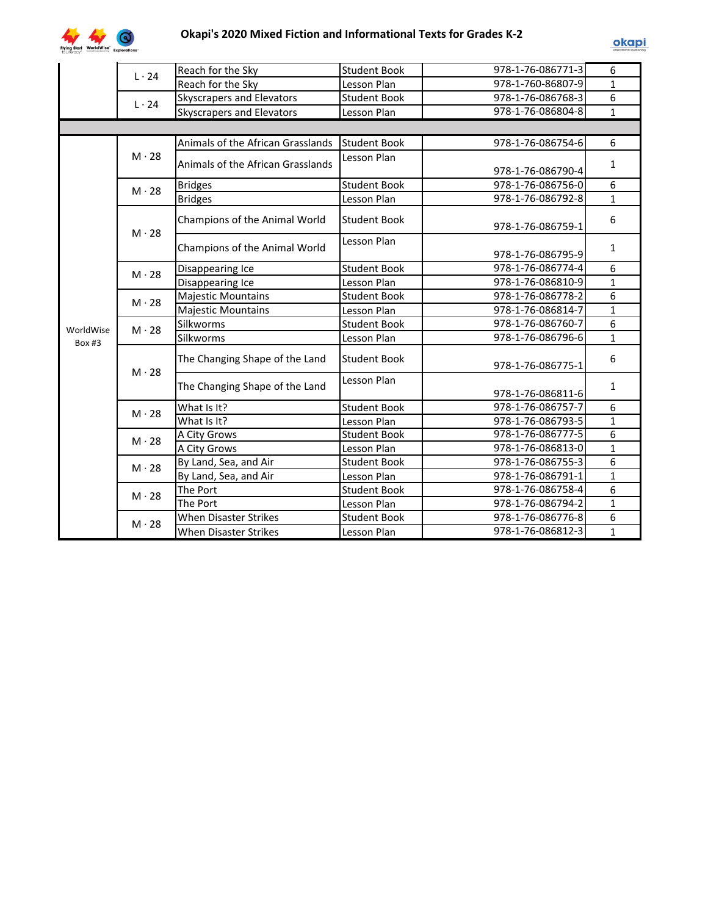

|           | $L \cdot 24$ | Reach for the Sky                 | <b>Student Book</b> | 978-1-76-086771-3 | 6              |
|-----------|--------------|-----------------------------------|---------------------|-------------------|----------------|
|           |              | Reach for the Sky                 | Lesson Plan         | 978-1-760-86807-9 | $\mathbf{1}$   |
|           |              | Skyscrapers and Elevators         | <b>Student Book</b> | 978-1-76-086768-3 | 6              |
|           | $L \cdot 24$ | Skyscrapers and Elevators         | Lesson Plan         | 978-1-76-086804-8 | $\mathbf{1}$   |
|           |              |                                   |                     |                   |                |
|           |              | Animals of the African Grasslands | <b>Student Book</b> | 978-1-76-086754-6 | 6              |
|           | $M \cdot 28$ | Animals of the African Grasslands | Lesson Plan         | 978-1-76-086790-4 | $\mathbf{1}$   |
|           | $M \cdot 28$ | <b>Bridges</b>                    | <b>Student Book</b> | 978-1-76-086756-0 | 6              |
|           |              | <b>Bridges</b>                    | Lesson Plan         | 978-1-76-086792-8 | $\mathbf{1}$   |
|           | $M \cdot 28$ | Champions of the Animal World     | <b>Student Book</b> | 978-1-76-086759-1 | 6              |
|           |              | Champions of the Animal World     | Lesson Plan         | 978-1-76-086795-9 | 1              |
|           | $M \cdot 28$ | Disappearing Ice                  | <b>Student Book</b> | 978-1-76-086774-4 | 6              |
|           |              | Disappearing Ice                  | Lesson Plan         | 978-1-76-086810-9 | $\mathbf{1}$   |
|           | $M \cdot 28$ | <b>Majestic Mountains</b>         | <b>Student Book</b> | 978-1-76-086778-2 | 6              |
|           |              | <b>Majestic Mountains</b>         | Lesson Plan         | 978-1-76-086814-7 | $\mathbf{1}$   |
| WorldWise | $M \cdot 28$ | Silkworms                         | <b>Student Book</b> | 978-1-76-086760-7 | 6              |
| Box #3    |              | Silkworms                         | Lesson Plan         | 978-1-76-086796-6 | $\mathbf{1}$   |
|           | $M \cdot 28$ | The Changing Shape of the Land    | <b>Student Book</b> | 978-1-76-086775-1 | 6              |
|           |              | The Changing Shape of the Land    | Lesson Plan         | 978-1-76-086811-6 | $\mathbf{1}$   |
|           | $M \cdot 28$ | What Is It?                       | <b>Student Book</b> | 978-1-76-086757-7 | 6              |
|           |              | What Is It?                       | Lesson Plan         | 978-1-76-086793-5 | $\mathbf{1}$   |
|           | $M \cdot 28$ | A City Grows                      | <b>Student Book</b> | 978-1-76-086777-5 | $\overline{6}$ |
|           |              | A City Grows                      | Lesson Plan         | 978-1-76-086813-0 | $\mathbf{1}$   |
|           | $M \cdot 28$ | By Land, Sea, and Air             | <b>Student Book</b> | 978-1-76-086755-3 | 6              |
|           |              | By Land, Sea, and Air             | Lesson Plan         | 978-1-76-086791-1 | $\mathbf{1}$   |
|           | $M \cdot 28$ | The Port                          | <b>Student Book</b> | 978-1-76-086758-4 | 6              |
|           |              | The Port                          | Lesson Plan         | 978-1-76-086794-2 | $\mathbf{1}$   |
|           | $M \cdot 28$ | <b>When Disaster Strikes</b>      | <b>Student Book</b> | 978-1-76-086776-8 | 6              |
|           |              | <b>When Disaster Strikes</b>      | Lesson Plan         | 978-1-76-086812-3 | $\mathbf{1}$   |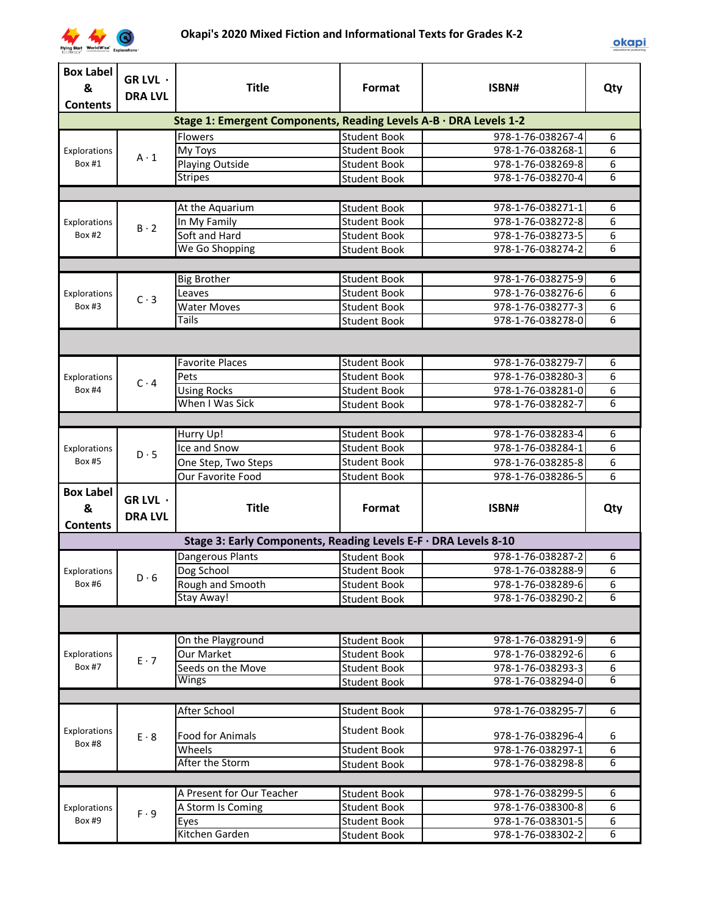

| Stage 1: Emergent Components, Reading Levels A-B · DRA Levels 1-2<br><b>Flowers</b><br><b>Student Book</b><br>978-1-76-038267-4<br>6<br>6<br>978-1-76-038268-1<br><b>Student Book</b><br>My Toys<br>Explorations<br>$A \cdot 1$<br>6<br>978-1-76-038269-8<br>Box #1<br>Playing Outside<br><b>Student Book</b><br>$\overline{6}$<br><b>Stripes</b><br>978-1-76-038270-4<br><b>Student Book</b><br>6<br>978-1-76-038271-1<br>At the Aquarium<br><b>Student Book</b><br>6<br>978-1-76-038272-8<br>In My Family<br><b>Student Book</b><br>Explorations<br>$B \cdot 2$<br>$\overline{6}$<br>Soft and Hard<br><b>Box #2</b><br>978-1-76-038273-5<br><b>Student Book</b><br>6<br>We Go Shopping<br>978-1-76-038274-2<br><b>Student Book</b><br><b>Big Brother</b><br><b>Student Book</b><br>978-1-76-038275-9<br>6<br>6<br><b>Student Book</b><br>978-1-76-038276-6<br>Leaves<br>Explorations<br>$C \cdot 3$<br>6<br><b>Water Moves</b><br><b>Student Book</b><br>978-1-76-038277-3<br><b>Box #3</b><br>6<br>Tails<br>978-1-76-038278-0<br><b>Student Book</b><br>6<br><b>Favorite Places</b><br><b>Student Book</b><br>978-1-76-038279-7<br>6<br><b>Student Book</b><br>978-1-76-038280-3<br>Pets<br>Explorations<br>$C \cdot 4$<br>6<br><b>Using Rocks</b><br><b>Box #4</b><br><b>Student Book</b><br>978-1-76-038281-0<br>$\overline{6}$<br>When I Was Sick<br>978-1-76-038282-7<br><b>Student Book</b><br>Hurry Up!<br>6<br><b>Student Book</b><br>978-1-76-038283-4<br>6<br>Ice and Snow<br><b>Student Book</b><br>978-1-76-038284-1<br>Explorations<br>$D \cdot 5$<br>6<br><b>Box #5</b><br><b>Student Book</b><br>One Step, Two Steps<br>978-1-76-038285-8<br>$\overline{6}$<br>Our Favorite Food<br>978-1-76-038286-5<br><b>Student Book</b><br><b>Box Label</b><br>GR LVL $\cdot$<br><b>Title</b><br>&<br>Format<br>ISBN#<br>Qty<br><b>DRA LVL</b><br><b>Contents</b><br>Stage 3: Early Components, Reading Levels E-F · DRA Levels 8-10<br>Dangerous Plants<br><b>Student Book</b><br>978-1-76-038287-2<br>6<br>6<br>Dog School<br><b>Student Book</b><br>978-1-76-038288-9<br>Explorations<br>$D \cdot 6$<br>978-1-76-038289-6<br>Rough and Smooth<br><b>Student Book</b><br>Box #6<br>6<br>6<br>Stay Away!<br><b>Student Book</b><br>978-1-76-038290-2<br>6<br><b>Student Book</b><br>978-1-76-038291-9<br>On the Playground<br>6<br>Our Market<br><b>Student Book</b><br>978-1-76-038292-6<br>Explorations<br>$E \cdot 7$<br><b>Box #7</b><br>6<br>Seeds on the Move<br><b>Student Book</b><br>978-1-76-038293-3<br>6<br>978-1-76-038294-0<br>Wings<br><b>Student Book</b><br>After School<br>978-1-76-038295-7<br>6<br><b>Student Book</b><br><b>Student Book</b><br>Explorations<br>Food for Animals<br>978-1-76-038296-4<br>6<br>$E \cdot 8$<br>Box #8<br>6<br>Wheels<br>978-1-76-038297-1<br><b>Student Book</b><br>$\overline{6}$<br>After the Storm<br>978-1-76-038298-8<br><b>Student Book</b><br>A Present for Our Teacher<br>978-1-76-038299-5<br><b>Student Book</b><br>6<br>6<br><b>Student Book</b><br>978-1-76-038300-8<br>A Storm Is Coming<br>Explorations<br>$F \cdot 9$<br>6<br>Box #9<br><b>Student Book</b><br>978-1-76-038301-5<br>Eyes<br>Kitchen Garden<br>6<br>978-1-76-038302-2<br><b>Student Book</b> | <b>Box Label</b><br>&<br><b>Contents</b> | GR LVL ·<br><b>DRA LVL</b> | <b>Title</b> | Format | ISBN# | Qty |  |  |
|--------------------------------------------------------------------------------------------------------------------------------------------------------------------------------------------------------------------------------------------------------------------------------------------------------------------------------------------------------------------------------------------------------------------------------------------------------------------------------------------------------------------------------------------------------------------------------------------------------------------------------------------------------------------------------------------------------------------------------------------------------------------------------------------------------------------------------------------------------------------------------------------------------------------------------------------------------------------------------------------------------------------------------------------------------------------------------------------------------------------------------------------------------------------------------------------------------------------------------------------------------------------------------------------------------------------------------------------------------------------------------------------------------------------------------------------------------------------------------------------------------------------------------------------------------------------------------------------------------------------------------------------------------------------------------------------------------------------------------------------------------------------------------------------------------------------------------------------------------------------------------------------------------------------------------------------------------------------------------------------------------------------------------------------------------------------------------------------------------------------------------------------------------------------------------------------------------------------------------------------------------------------------------------------------------------------------------------------------------------------------------------------------------------------------------------------------------------------------------------------------------------------------------------------------------------------------------------------------------------------------------------------------------------------------------------------------------------------------------------------------------------------------------------------------------------------------------------------------------------------------------------------------------------------------------------------------------------------------------------------------------------------------------------------------------------------------------------------------------------------------------------------------------------------------------------------------------------------------------------|------------------------------------------|----------------------------|--------------|--------|-------|-----|--|--|
|                                                                                                                                                                                                                                                                                                                                                                                                                                                                                                                                                                                                                                                                                                                                                                                                                                                                                                                                                                                                                                                                                                                                                                                                                                                                                                                                                                                                                                                                                                                                                                                                                                                                                                                                                                                                                                                                                                                                                                                                                                                                                                                                                                                                                                                                                                                                                                                                                                                                                                                                                                                                                                                                                                                                                                                                                                                                                                                                                                                                                                                                                                                                                                                                                                      |                                          |                            |              |        |       |     |  |  |
|                                                                                                                                                                                                                                                                                                                                                                                                                                                                                                                                                                                                                                                                                                                                                                                                                                                                                                                                                                                                                                                                                                                                                                                                                                                                                                                                                                                                                                                                                                                                                                                                                                                                                                                                                                                                                                                                                                                                                                                                                                                                                                                                                                                                                                                                                                                                                                                                                                                                                                                                                                                                                                                                                                                                                                                                                                                                                                                                                                                                                                                                                                                                                                                                                                      |                                          |                            |              |        |       |     |  |  |
|                                                                                                                                                                                                                                                                                                                                                                                                                                                                                                                                                                                                                                                                                                                                                                                                                                                                                                                                                                                                                                                                                                                                                                                                                                                                                                                                                                                                                                                                                                                                                                                                                                                                                                                                                                                                                                                                                                                                                                                                                                                                                                                                                                                                                                                                                                                                                                                                                                                                                                                                                                                                                                                                                                                                                                                                                                                                                                                                                                                                                                                                                                                                                                                                                                      |                                          |                            |              |        |       |     |  |  |
|                                                                                                                                                                                                                                                                                                                                                                                                                                                                                                                                                                                                                                                                                                                                                                                                                                                                                                                                                                                                                                                                                                                                                                                                                                                                                                                                                                                                                                                                                                                                                                                                                                                                                                                                                                                                                                                                                                                                                                                                                                                                                                                                                                                                                                                                                                                                                                                                                                                                                                                                                                                                                                                                                                                                                                                                                                                                                                                                                                                                                                                                                                                                                                                                                                      |                                          |                            |              |        |       |     |  |  |
|                                                                                                                                                                                                                                                                                                                                                                                                                                                                                                                                                                                                                                                                                                                                                                                                                                                                                                                                                                                                                                                                                                                                                                                                                                                                                                                                                                                                                                                                                                                                                                                                                                                                                                                                                                                                                                                                                                                                                                                                                                                                                                                                                                                                                                                                                                                                                                                                                                                                                                                                                                                                                                                                                                                                                                                                                                                                                                                                                                                                                                                                                                                                                                                                                                      |                                          |                            |              |        |       |     |  |  |
|                                                                                                                                                                                                                                                                                                                                                                                                                                                                                                                                                                                                                                                                                                                                                                                                                                                                                                                                                                                                                                                                                                                                                                                                                                                                                                                                                                                                                                                                                                                                                                                                                                                                                                                                                                                                                                                                                                                                                                                                                                                                                                                                                                                                                                                                                                                                                                                                                                                                                                                                                                                                                                                                                                                                                                                                                                                                                                                                                                                                                                                                                                                                                                                                                                      |                                          |                            |              |        |       |     |  |  |
|                                                                                                                                                                                                                                                                                                                                                                                                                                                                                                                                                                                                                                                                                                                                                                                                                                                                                                                                                                                                                                                                                                                                                                                                                                                                                                                                                                                                                                                                                                                                                                                                                                                                                                                                                                                                                                                                                                                                                                                                                                                                                                                                                                                                                                                                                                                                                                                                                                                                                                                                                                                                                                                                                                                                                                                                                                                                                                                                                                                                                                                                                                                                                                                                                                      |                                          |                            |              |        |       |     |  |  |
|                                                                                                                                                                                                                                                                                                                                                                                                                                                                                                                                                                                                                                                                                                                                                                                                                                                                                                                                                                                                                                                                                                                                                                                                                                                                                                                                                                                                                                                                                                                                                                                                                                                                                                                                                                                                                                                                                                                                                                                                                                                                                                                                                                                                                                                                                                                                                                                                                                                                                                                                                                                                                                                                                                                                                                                                                                                                                                                                                                                                                                                                                                                                                                                                                                      |                                          |                            |              |        |       |     |  |  |
|                                                                                                                                                                                                                                                                                                                                                                                                                                                                                                                                                                                                                                                                                                                                                                                                                                                                                                                                                                                                                                                                                                                                                                                                                                                                                                                                                                                                                                                                                                                                                                                                                                                                                                                                                                                                                                                                                                                                                                                                                                                                                                                                                                                                                                                                                                                                                                                                                                                                                                                                                                                                                                                                                                                                                                                                                                                                                                                                                                                                                                                                                                                                                                                                                                      |                                          |                            |              |        |       |     |  |  |
|                                                                                                                                                                                                                                                                                                                                                                                                                                                                                                                                                                                                                                                                                                                                                                                                                                                                                                                                                                                                                                                                                                                                                                                                                                                                                                                                                                                                                                                                                                                                                                                                                                                                                                                                                                                                                                                                                                                                                                                                                                                                                                                                                                                                                                                                                                                                                                                                                                                                                                                                                                                                                                                                                                                                                                                                                                                                                                                                                                                                                                                                                                                                                                                                                                      |                                          |                            |              |        |       |     |  |  |
|                                                                                                                                                                                                                                                                                                                                                                                                                                                                                                                                                                                                                                                                                                                                                                                                                                                                                                                                                                                                                                                                                                                                                                                                                                                                                                                                                                                                                                                                                                                                                                                                                                                                                                                                                                                                                                                                                                                                                                                                                                                                                                                                                                                                                                                                                                                                                                                                                                                                                                                                                                                                                                                                                                                                                                                                                                                                                                                                                                                                                                                                                                                                                                                                                                      |                                          |                            |              |        |       |     |  |  |
|                                                                                                                                                                                                                                                                                                                                                                                                                                                                                                                                                                                                                                                                                                                                                                                                                                                                                                                                                                                                                                                                                                                                                                                                                                                                                                                                                                                                                                                                                                                                                                                                                                                                                                                                                                                                                                                                                                                                                                                                                                                                                                                                                                                                                                                                                                                                                                                                                                                                                                                                                                                                                                                                                                                                                                                                                                                                                                                                                                                                                                                                                                                                                                                                                                      |                                          |                            |              |        |       |     |  |  |
|                                                                                                                                                                                                                                                                                                                                                                                                                                                                                                                                                                                                                                                                                                                                                                                                                                                                                                                                                                                                                                                                                                                                                                                                                                                                                                                                                                                                                                                                                                                                                                                                                                                                                                                                                                                                                                                                                                                                                                                                                                                                                                                                                                                                                                                                                                                                                                                                                                                                                                                                                                                                                                                                                                                                                                                                                                                                                                                                                                                                                                                                                                                                                                                                                                      |                                          |                            |              |        |       |     |  |  |
|                                                                                                                                                                                                                                                                                                                                                                                                                                                                                                                                                                                                                                                                                                                                                                                                                                                                                                                                                                                                                                                                                                                                                                                                                                                                                                                                                                                                                                                                                                                                                                                                                                                                                                                                                                                                                                                                                                                                                                                                                                                                                                                                                                                                                                                                                                                                                                                                                                                                                                                                                                                                                                                                                                                                                                                                                                                                                                                                                                                                                                                                                                                                                                                                                                      |                                          |                            |              |        |       |     |  |  |
|                                                                                                                                                                                                                                                                                                                                                                                                                                                                                                                                                                                                                                                                                                                                                                                                                                                                                                                                                                                                                                                                                                                                                                                                                                                                                                                                                                                                                                                                                                                                                                                                                                                                                                                                                                                                                                                                                                                                                                                                                                                                                                                                                                                                                                                                                                                                                                                                                                                                                                                                                                                                                                                                                                                                                                                                                                                                                                                                                                                                                                                                                                                                                                                                                                      |                                          |                            |              |        |       |     |  |  |
|                                                                                                                                                                                                                                                                                                                                                                                                                                                                                                                                                                                                                                                                                                                                                                                                                                                                                                                                                                                                                                                                                                                                                                                                                                                                                                                                                                                                                                                                                                                                                                                                                                                                                                                                                                                                                                                                                                                                                                                                                                                                                                                                                                                                                                                                                                                                                                                                                                                                                                                                                                                                                                                                                                                                                                                                                                                                                                                                                                                                                                                                                                                                                                                                                                      |                                          |                            |              |        |       |     |  |  |
|                                                                                                                                                                                                                                                                                                                                                                                                                                                                                                                                                                                                                                                                                                                                                                                                                                                                                                                                                                                                                                                                                                                                                                                                                                                                                                                                                                                                                                                                                                                                                                                                                                                                                                                                                                                                                                                                                                                                                                                                                                                                                                                                                                                                                                                                                                                                                                                                                                                                                                                                                                                                                                                                                                                                                                                                                                                                                                                                                                                                                                                                                                                                                                                                                                      |                                          |                            |              |        |       |     |  |  |
|                                                                                                                                                                                                                                                                                                                                                                                                                                                                                                                                                                                                                                                                                                                                                                                                                                                                                                                                                                                                                                                                                                                                                                                                                                                                                                                                                                                                                                                                                                                                                                                                                                                                                                                                                                                                                                                                                                                                                                                                                                                                                                                                                                                                                                                                                                                                                                                                                                                                                                                                                                                                                                                                                                                                                                                                                                                                                                                                                                                                                                                                                                                                                                                                                                      |                                          |                            |              |        |       |     |  |  |
|                                                                                                                                                                                                                                                                                                                                                                                                                                                                                                                                                                                                                                                                                                                                                                                                                                                                                                                                                                                                                                                                                                                                                                                                                                                                                                                                                                                                                                                                                                                                                                                                                                                                                                                                                                                                                                                                                                                                                                                                                                                                                                                                                                                                                                                                                                                                                                                                                                                                                                                                                                                                                                                                                                                                                                                                                                                                                                                                                                                                                                                                                                                                                                                                                                      |                                          |                            |              |        |       |     |  |  |
|                                                                                                                                                                                                                                                                                                                                                                                                                                                                                                                                                                                                                                                                                                                                                                                                                                                                                                                                                                                                                                                                                                                                                                                                                                                                                                                                                                                                                                                                                                                                                                                                                                                                                                                                                                                                                                                                                                                                                                                                                                                                                                                                                                                                                                                                                                                                                                                                                                                                                                                                                                                                                                                                                                                                                                                                                                                                                                                                                                                                                                                                                                                                                                                                                                      |                                          |                            |              |        |       |     |  |  |
|                                                                                                                                                                                                                                                                                                                                                                                                                                                                                                                                                                                                                                                                                                                                                                                                                                                                                                                                                                                                                                                                                                                                                                                                                                                                                                                                                                                                                                                                                                                                                                                                                                                                                                                                                                                                                                                                                                                                                                                                                                                                                                                                                                                                                                                                                                                                                                                                                                                                                                                                                                                                                                                                                                                                                                                                                                                                                                                                                                                                                                                                                                                                                                                                                                      |                                          |                            |              |        |       |     |  |  |
|                                                                                                                                                                                                                                                                                                                                                                                                                                                                                                                                                                                                                                                                                                                                                                                                                                                                                                                                                                                                                                                                                                                                                                                                                                                                                                                                                                                                                                                                                                                                                                                                                                                                                                                                                                                                                                                                                                                                                                                                                                                                                                                                                                                                                                                                                                                                                                                                                                                                                                                                                                                                                                                                                                                                                                                                                                                                                                                                                                                                                                                                                                                                                                                                                                      |                                          |                            |              |        |       |     |  |  |
|                                                                                                                                                                                                                                                                                                                                                                                                                                                                                                                                                                                                                                                                                                                                                                                                                                                                                                                                                                                                                                                                                                                                                                                                                                                                                                                                                                                                                                                                                                                                                                                                                                                                                                                                                                                                                                                                                                                                                                                                                                                                                                                                                                                                                                                                                                                                                                                                                                                                                                                                                                                                                                                                                                                                                                                                                                                                                                                                                                                                                                                                                                                                                                                                                                      |                                          |                            |              |        |       |     |  |  |
|                                                                                                                                                                                                                                                                                                                                                                                                                                                                                                                                                                                                                                                                                                                                                                                                                                                                                                                                                                                                                                                                                                                                                                                                                                                                                                                                                                                                                                                                                                                                                                                                                                                                                                                                                                                                                                                                                                                                                                                                                                                                                                                                                                                                                                                                                                                                                                                                                                                                                                                                                                                                                                                                                                                                                                                                                                                                                                                                                                                                                                                                                                                                                                                                                                      |                                          |                            |              |        |       |     |  |  |
|                                                                                                                                                                                                                                                                                                                                                                                                                                                                                                                                                                                                                                                                                                                                                                                                                                                                                                                                                                                                                                                                                                                                                                                                                                                                                                                                                                                                                                                                                                                                                                                                                                                                                                                                                                                                                                                                                                                                                                                                                                                                                                                                                                                                                                                                                                                                                                                                                                                                                                                                                                                                                                                                                                                                                                                                                                                                                                                                                                                                                                                                                                                                                                                                                                      |                                          |                            |              |        |       |     |  |  |
|                                                                                                                                                                                                                                                                                                                                                                                                                                                                                                                                                                                                                                                                                                                                                                                                                                                                                                                                                                                                                                                                                                                                                                                                                                                                                                                                                                                                                                                                                                                                                                                                                                                                                                                                                                                                                                                                                                                                                                                                                                                                                                                                                                                                                                                                                                                                                                                                                                                                                                                                                                                                                                                                                                                                                                                                                                                                                                                                                                                                                                                                                                                                                                                                                                      |                                          |                            |              |        |       |     |  |  |
|                                                                                                                                                                                                                                                                                                                                                                                                                                                                                                                                                                                                                                                                                                                                                                                                                                                                                                                                                                                                                                                                                                                                                                                                                                                                                                                                                                                                                                                                                                                                                                                                                                                                                                                                                                                                                                                                                                                                                                                                                                                                                                                                                                                                                                                                                                                                                                                                                                                                                                                                                                                                                                                                                                                                                                                                                                                                                                                                                                                                                                                                                                                                                                                                                                      |                                          |                            |              |        |       |     |  |  |
|                                                                                                                                                                                                                                                                                                                                                                                                                                                                                                                                                                                                                                                                                                                                                                                                                                                                                                                                                                                                                                                                                                                                                                                                                                                                                                                                                                                                                                                                                                                                                                                                                                                                                                                                                                                                                                                                                                                                                                                                                                                                                                                                                                                                                                                                                                                                                                                                                                                                                                                                                                                                                                                                                                                                                                                                                                                                                                                                                                                                                                                                                                                                                                                                                                      |                                          |                            |              |        |       |     |  |  |
|                                                                                                                                                                                                                                                                                                                                                                                                                                                                                                                                                                                                                                                                                                                                                                                                                                                                                                                                                                                                                                                                                                                                                                                                                                                                                                                                                                                                                                                                                                                                                                                                                                                                                                                                                                                                                                                                                                                                                                                                                                                                                                                                                                                                                                                                                                                                                                                                                                                                                                                                                                                                                                                                                                                                                                                                                                                                                                                                                                                                                                                                                                                                                                                                                                      |                                          |                            |              |        |       |     |  |  |
|                                                                                                                                                                                                                                                                                                                                                                                                                                                                                                                                                                                                                                                                                                                                                                                                                                                                                                                                                                                                                                                                                                                                                                                                                                                                                                                                                                                                                                                                                                                                                                                                                                                                                                                                                                                                                                                                                                                                                                                                                                                                                                                                                                                                                                                                                                                                                                                                                                                                                                                                                                                                                                                                                                                                                                                                                                                                                                                                                                                                                                                                                                                                                                                                                                      |                                          |                            |              |        |       |     |  |  |
|                                                                                                                                                                                                                                                                                                                                                                                                                                                                                                                                                                                                                                                                                                                                                                                                                                                                                                                                                                                                                                                                                                                                                                                                                                                                                                                                                                                                                                                                                                                                                                                                                                                                                                                                                                                                                                                                                                                                                                                                                                                                                                                                                                                                                                                                                                                                                                                                                                                                                                                                                                                                                                                                                                                                                                                                                                                                                                                                                                                                                                                                                                                                                                                                                                      |                                          |                            |              |        |       |     |  |  |
|                                                                                                                                                                                                                                                                                                                                                                                                                                                                                                                                                                                                                                                                                                                                                                                                                                                                                                                                                                                                                                                                                                                                                                                                                                                                                                                                                                                                                                                                                                                                                                                                                                                                                                                                                                                                                                                                                                                                                                                                                                                                                                                                                                                                                                                                                                                                                                                                                                                                                                                                                                                                                                                                                                                                                                                                                                                                                                                                                                                                                                                                                                                                                                                                                                      |                                          |                            |              |        |       |     |  |  |
|                                                                                                                                                                                                                                                                                                                                                                                                                                                                                                                                                                                                                                                                                                                                                                                                                                                                                                                                                                                                                                                                                                                                                                                                                                                                                                                                                                                                                                                                                                                                                                                                                                                                                                                                                                                                                                                                                                                                                                                                                                                                                                                                                                                                                                                                                                                                                                                                                                                                                                                                                                                                                                                                                                                                                                                                                                                                                                                                                                                                                                                                                                                                                                                                                                      |                                          |                            |              |        |       |     |  |  |
|                                                                                                                                                                                                                                                                                                                                                                                                                                                                                                                                                                                                                                                                                                                                                                                                                                                                                                                                                                                                                                                                                                                                                                                                                                                                                                                                                                                                                                                                                                                                                                                                                                                                                                                                                                                                                                                                                                                                                                                                                                                                                                                                                                                                                                                                                                                                                                                                                                                                                                                                                                                                                                                                                                                                                                                                                                                                                                                                                                                                                                                                                                                                                                                                                                      |                                          |                            |              |        |       |     |  |  |
|                                                                                                                                                                                                                                                                                                                                                                                                                                                                                                                                                                                                                                                                                                                                                                                                                                                                                                                                                                                                                                                                                                                                                                                                                                                                                                                                                                                                                                                                                                                                                                                                                                                                                                                                                                                                                                                                                                                                                                                                                                                                                                                                                                                                                                                                                                                                                                                                                                                                                                                                                                                                                                                                                                                                                                                                                                                                                                                                                                                                                                                                                                                                                                                                                                      |                                          |                            |              |        |       |     |  |  |
|                                                                                                                                                                                                                                                                                                                                                                                                                                                                                                                                                                                                                                                                                                                                                                                                                                                                                                                                                                                                                                                                                                                                                                                                                                                                                                                                                                                                                                                                                                                                                                                                                                                                                                                                                                                                                                                                                                                                                                                                                                                                                                                                                                                                                                                                                                                                                                                                                                                                                                                                                                                                                                                                                                                                                                                                                                                                                                                                                                                                                                                                                                                                                                                                                                      |                                          |                            |              |        |       |     |  |  |
|                                                                                                                                                                                                                                                                                                                                                                                                                                                                                                                                                                                                                                                                                                                                                                                                                                                                                                                                                                                                                                                                                                                                                                                                                                                                                                                                                                                                                                                                                                                                                                                                                                                                                                                                                                                                                                                                                                                                                                                                                                                                                                                                                                                                                                                                                                                                                                                                                                                                                                                                                                                                                                                                                                                                                                                                                                                                                                                                                                                                                                                                                                                                                                                                                                      |                                          |                            |              |        |       |     |  |  |
|                                                                                                                                                                                                                                                                                                                                                                                                                                                                                                                                                                                                                                                                                                                                                                                                                                                                                                                                                                                                                                                                                                                                                                                                                                                                                                                                                                                                                                                                                                                                                                                                                                                                                                                                                                                                                                                                                                                                                                                                                                                                                                                                                                                                                                                                                                                                                                                                                                                                                                                                                                                                                                                                                                                                                                                                                                                                                                                                                                                                                                                                                                                                                                                                                                      |                                          |                            |              |        |       |     |  |  |
|                                                                                                                                                                                                                                                                                                                                                                                                                                                                                                                                                                                                                                                                                                                                                                                                                                                                                                                                                                                                                                                                                                                                                                                                                                                                                                                                                                                                                                                                                                                                                                                                                                                                                                                                                                                                                                                                                                                                                                                                                                                                                                                                                                                                                                                                                                                                                                                                                                                                                                                                                                                                                                                                                                                                                                                                                                                                                                                                                                                                                                                                                                                                                                                                                                      |                                          |                            |              |        |       |     |  |  |
|                                                                                                                                                                                                                                                                                                                                                                                                                                                                                                                                                                                                                                                                                                                                                                                                                                                                                                                                                                                                                                                                                                                                                                                                                                                                                                                                                                                                                                                                                                                                                                                                                                                                                                                                                                                                                                                                                                                                                                                                                                                                                                                                                                                                                                                                                                                                                                                                                                                                                                                                                                                                                                                                                                                                                                                                                                                                                                                                                                                                                                                                                                                                                                                                                                      |                                          |                            |              |        |       |     |  |  |
|                                                                                                                                                                                                                                                                                                                                                                                                                                                                                                                                                                                                                                                                                                                                                                                                                                                                                                                                                                                                                                                                                                                                                                                                                                                                                                                                                                                                                                                                                                                                                                                                                                                                                                                                                                                                                                                                                                                                                                                                                                                                                                                                                                                                                                                                                                                                                                                                                                                                                                                                                                                                                                                                                                                                                                                                                                                                                                                                                                                                                                                                                                                                                                                                                                      |                                          |                            |              |        |       |     |  |  |
|                                                                                                                                                                                                                                                                                                                                                                                                                                                                                                                                                                                                                                                                                                                                                                                                                                                                                                                                                                                                                                                                                                                                                                                                                                                                                                                                                                                                                                                                                                                                                                                                                                                                                                                                                                                                                                                                                                                                                                                                                                                                                                                                                                                                                                                                                                                                                                                                                                                                                                                                                                                                                                                                                                                                                                                                                                                                                                                                                                                                                                                                                                                                                                                                                                      |                                          |                            |              |        |       |     |  |  |
|                                                                                                                                                                                                                                                                                                                                                                                                                                                                                                                                                                                                                                                                                                                                                                                                                                                                                                                                                                                                                                                                                                                                                                                                                                                                                                                                                                                                                                                                                                                                                                                                                                                                                                                                                                                                                                                                                                                                                                                                                                                                                                                                                                                                                                                                                                                                                                                                                                                                                                                                                                                                                                                                                                                                                                                                                                                                                                                                                                                                                                                                                                                                                                                                                                      |                                          |                            |              |        |       |     |  |  |
|                                                                                                                                                                                                                                                                                                                                                                                                                                                                                                                                                                                                                                                                                                                                                                                                                                                                                                                                                                                                                                                                                                                                                                                                                                                                                                                                                                                                                                                                                                                                                                                                                                                                                                                                                                                                                                                                                                                                                                                                                                                                                                                                                                                                                                                                                                                                                                                                                                                                                                                                                                                                                                                                                                                                                                                                                                                                                                                                                                                                                                                                                                                                                                                                                                      |                                          |                            |              |        |       |     |  |  |
|                                                                                                                                                                                                                                                                                                                                                                                                                                                                                                                                                                                                                                                                                                                                                                                                                                                                                                                                                                                                                                                                                                                                                                                                                                                                                                                                                                                                                                                                                                                                                                                                                                                                                                                                                                                                                                                                                                                                                                                                                                                                                                                                                                                                                                                                                                                                                                                                                                                                                                                                                                                                                                                                                                                                                                                                                                                                                                                                                                                                                                                                                                                                                                                                                                      |                                          |                            |              |        |       |     |  |  |
|                                                                                                                                                                                                                                                                                                                                                                                                                                                                                                                                                                                                                                                                                                                                                                                                                                                                                                                                                                                                                                                                                                                                                                                                                                                                                                                                                                                                                                                                                                                                                                                                                                                                                                                                                                                                                                                                                                                                                                                                                                                                                                                                                                                                                                                                                                                                                                                                                                                                                                                                                                                                                                                                                                                                                                                                                                                                                                                                                                                                                                                                                                                                                                                                                                      |                                          |                            |              |        |       |     |  |  |
|                                                                                                                                                                                                                                                                                                                                                                                                                                                                                                                                                                                                                                                                                                                                                                                                                                                                                                                                                                                                                                                                                                                                                                                                                                                                                                                                                                                                                                                                                                                                                                                                                                                                                                                                                                                                                                                                                                                                                                                                                                                                                                                                                                                                                                                                                                                                                                                                                                                                                                                                                                                                                                                                                                                                                                                                                                                                                                                                                                                                                                                                                                                                                                                                                                      |                                          |                            |              |        |       |     |  |  |
|                                                                                                                                                                                                                                                                                                                                                                                                                                                                                                                                                                                                                                                                                                                                                                                                                                                                                                                                                                                                                                                                                                                                                                                                                                                                                                                                                                                                                                                                                                                                                                                                                                                                                                                                                                                                                                                                                                                                                                                                                                                                                                                                                                                                                                                                                                                                                                                                                                                                                                                                                                                                                                                                                                                                                                                                                                                                                                                                                                                                                                                                                                                                                                                                                                      |                                          |                            |              |        |       |     |  |  |
|                                                                                                                                                                                                                                                                                                                                                                                                                                                                                                                                                                                                                                                                                                                                                                                                                                                                                                                                                                                                                                                                                                                                                                                                                                                                                                                                                                                                                                                                                                                                                                                                                                                                                                                                                                                                                                                                                                                                                                                                                                                                                                                                                                                                                                                                                                                                                                                                                                                                                                                                                                                                                                                                                                                                                                                                                                                                                                                                                                                                                                                                                                                                                                                                                                      |                                          |                            |              |        |       |     |  |  |